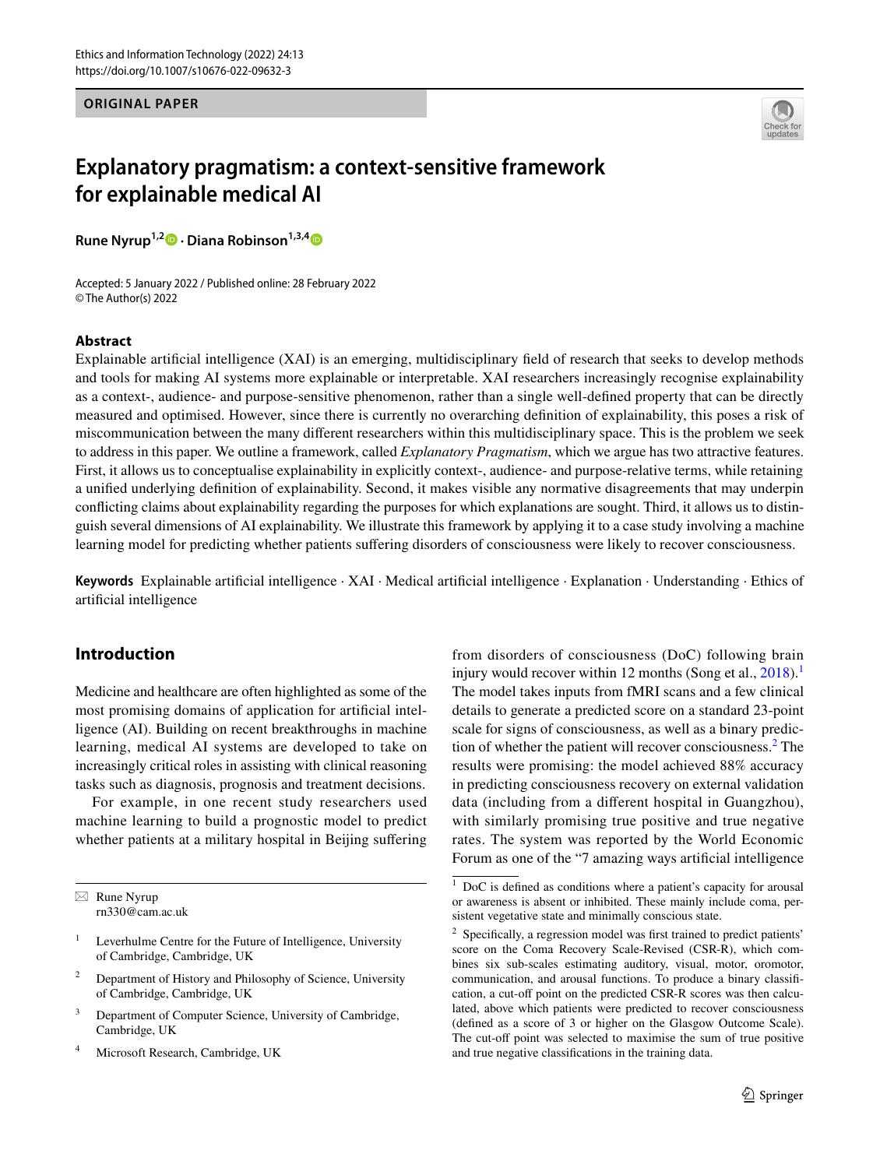## **ORIGINAL PAPER**



# **Explanatory pragmatism: a context‑sensitive framework for explainable medical AI**

**Rune Nyrup1,2 · Diana Robinson1,3,[4](http://orcid.org/0000-0001-7468-0123)**

Accepted: 5 January 2022 / Published online: 28 February 2022 © The Author(s) 2022

#### **Abstract**

Explainable artifcial intelligence (XAI) is an emerging, multidisciplinary feld of research that seeks to develop methods and tools for making AI systems more explainable or interpretable. XAI researchers increasingly recognise explainability as a context-, audience- and purpose-sensitive phenomenon, rather than a single well-defned property that can be directly measured and optimised. However, since there is currently no overarching defnition of explainability, this poses a risk of miscommunication between the many diferent researchers within this multidisciplinary space. This is the problem we seek to address in this paper. We outline a framework, called *Explanatory Pragmatism*, which we argue has two attractive features. First, it allows us to conceptualise explainability in explicitly context-, audience- and purpose-relative terms, while retaining a unifed underlying defnition of explainability. Second, it makes visible any normative disagreements that may underpin conficting claims about explainability regarding the purposes for which explanations are sought. Third, it allows us to distinguish several dimensions of AI explainability. We illustrate this framework by applying it to a case study involving a machine learning model for predicting whether patients sufering disorders of consciousness were likely to recover consciousness.

**Keywords** Explainable artifcial intelligence · XAI · Medical artifcial intelligence · Explanation · Understanding · Ethics of artifcial intelligence

# <span id="page-0-2"></span>**Introduction**

Medicine and healthcare are often highlighted as some of the most promising domains of application for artifcial intelligence (AI). Building on recent breakthroughs in machine learning, medical AI systems are developed to take on increasingly critical roles in assisting with clinical reasoning tasks such as diagnosis, prognosis and treatment decisions.

For example, in one recent study researchers used machine learning to build a prognostic model to predict whether patients at a military hospital in Beijing suffering

Microsoft Research, Cambridge, UK

from disorders of consciousness (DoC) following brain injury would recover within [1](#page-0-0)2 months (Song et al.,  $2018$ ).<sup>1</sup> The model takes inputs from fMRI scans and a few clinical details to generate a predicted score on a standard 23-point scale for signs of consciousness, as well as a binary predic-tion of whether the patient will recover consciousness.<sup>[2](#page-0-1)</sup> The results were promising: the model achieved 88% accuracy in predicting consciousness recovery on external validation data (including from a diferent hospital in Guangzhou), with similarly promising true positive and true negative rates. The system was reported by the World Economic Forum as one of the "7 amazing ways artifcial intelligence

 $\boxtimes$  Rune Nyrup rn330@cam.ac.uk

<sup>&</sup>lt;sup>1</sup> Leverhulme Centre for the Future of Intelligence, University of Cambridge, Cambridge, UK

<sup>&</sup>lt;sup>2</sup> Department of History and Philosophy of Science, University of Cambridge, Cambridge, UK

<sup>&</sup>lt;sup>3</sup> Department of Computer Science, University of Cambridge, Cambridge, UK

<span id="page-0-0"></span><sup>1</sup> DoC is defned as conditions where a patient's capacity for arousal or awareness is absent or inhibited. These mainly include coma, persistent vegetative state and minimally conscious state.

<span id="page-0-1"></span><sup>&</sup>lt;sup>2</sup> Specifically, a regression model was first trained to predict patients' score on the Coma Recovery Scale-Revised (CSR-R), which combines six sub-scales estimating auditory, visual, motor, oromotor, communication, and arousal functions. To produce a binary classifcation, a cut-off point on the predicted CSR-R scores was then calculated, above which patients were predicted to recover consciousness (defned as a score of 3 or higher on the Glasgow Outcome Scale). The cut-off point was selected to maximise the sum of true positive and true negative classifcations in the training data.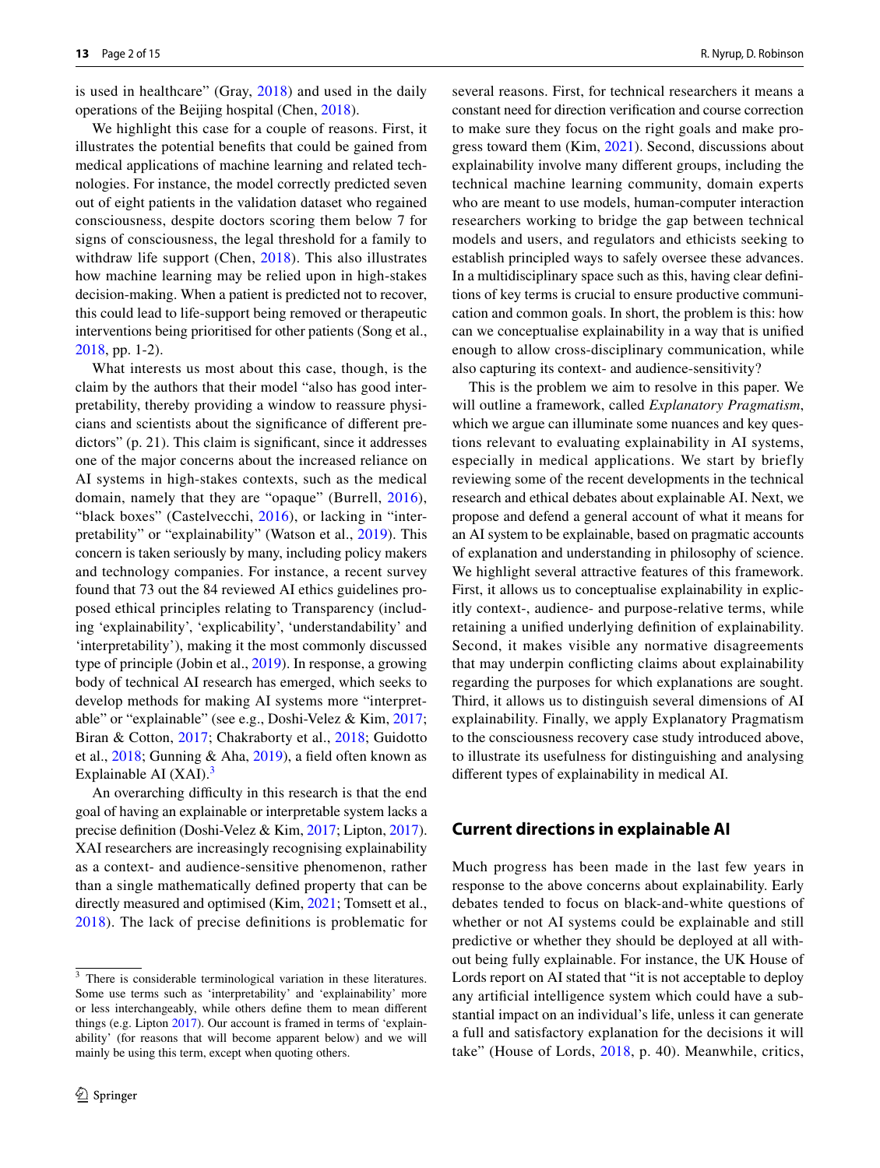is used in healthcare" (Gray, [2018\)](#page-13-0) and used in the daily operations of the Beijing hospital (Chen, [2018\)](#page-12-0).

We highlight this case for a couple of reasons. First, it illustrates the potential benefts that could be gained from medical applications of machine learning and related technologies. For instance, the model correctly predicted seven out of eight patients in the validation dataset who regained consciousness, despite doctors scoring them below 7 for signs of consciousness, the legal threshold for a family to withdraw life support (Chen, [2018](#page-12-0)). This also illustrates how machine learning may be relied upon in high-stakes decision-making. When a patient is predicted not to recover, this could lead to life-support being removed or therapeutic interventions being prioritised for other patients (Song et al., [2018](#page-14-0), pp. 1-2).

What interests us most about this case, though, is the claim by the authors that their model "also has good interpretability, thereby providing a window to reassure physicians and scientists about the signifcance of diferent predictors" (p. 21). This claim is signifcant, since it addresses one of the major concerns about the increased reliance on AI systems in high-stakes contexts, such as the medical domain, namely that they are "opaque" (Burrell, [2016](#page-12-1)), "black boxes" (Castelvecchi, [2016\)](#page-12-2), or lacking in "interpretability" or "explainability" (Watson et al., [2019](#page-14-1)). This concern is taken seriously by many, including policy makers and technology companies. For instance, a recent survey found that 73 out the 84 reviewed AI ethics guidelines proposed ethical principles relating to Transparency (including 'explainability', 'explicability', 'understandability' and 'interpretability'), making it the most commonly discussed type of principle (Jobin et al., [2019\)](#page-13-1). In response, a growing body of technical AI research has emerged, which seeks to develop methods for making AI systems more "interpretable" or "explainable" (see e.g., Doshi-Velez & Kim, [2017](#page-13-2); Biran & Cotton, [2017](#page-12-3); Chakraborty et al., [2018](#page-12-4); Guidotto et al., [2018;](#page-13-3) Gunning & Aha, [2019\)](#page-13-4), a feld often known as Explainable AI  $(XAI)$ .<sup>[3](#page-1-0)</sup>

An overarching difficulty in this research is that the end goal of having an explainable or interpretable system lacks a precise defnition (Doshi-Velez & Kim, [2017;](#page-13-2) Lipton, [2017](#page-13-5)). XAI researchers are increasingly recognising explainability as a context- and audience-sensitive phenomenon, rather than a single mathematically defned property that can be directly measured and optimised (Kim, [2021;](#page-13-6) Tomsett et al., [2018\)](#page-14-2). The lack of precise defnitions is problematic for several reasons. First, for technical researchers it means a constant need for direction verifcation and course correction to make sure they focus on the right goals and make progress toward them (Kim, [2021\)](#page-13-6). Second, discussions about explainability involve many diferent groups, including the technical machine learning community, domain experts who are meant to use models, human-computer interaction researchers working to bridge the gap between technical models and users, and regulators and ethicists seeking to establish principled ways to safely oversee these advances. In a multidisciplinary space such as this, having clear defnitions of key terms is crucial to ensure productive communication and common goals. In short, the problem is this: how can we conceptualise explainability in a way that is unifed enough to allow cross-disciplinary communication, while also capturing its context- and audience-sensitivity?

This is the problem we aim to resolve in this paper. We will outline a framework, called *Explanatory Pragmatism*, which we argue can illuminate some nuances and key questions relevant to evaluating explainability in AI systems, especially in medical applications. We start by briefly reviewing some of the recent developments in the technical research and ethical debates about explainable AI. Next, we propose and defend a general account of what it means for an AI system to be explainable, based on pragmatic accounts of explanation and understanding in philosophy of science. We highlight several attractive features of this framework. First, it allows us to conceptualise explainability in explicitly context-, audience- and purpose-relative terms, while retaining a unifed underlying defnition of explainability. Second, it makes visible any normative disagreements that may underpin conficting claims about explainability regarding the purposes for which explanations are sought. Third, it allows us to distinguish several dimensions of AI explainability. Finally, we apply Explanatory Pragmatism to the consciousness recovery case study introduced above, to illustrate its usefulness for distinguishing and analysing diferent types of explainability in medical AI.

## <span id="page-1-1"></span>**Current directions in explainable AI**

Much progress has been made in the last few years in response to the above concerns about explainability. Early debates tended to focus on black-and-white questions of whether or not AI systems could be explainable and still predictive or whether they should be deployed at all without being fully explainable. For instance, the UK House of Lords report on AI stated that "it is not acceptable to deploy any artifcial intelligence system which could have a substantial impact on an individual's life, unless it can generate a full and satisfactory explanation for the decisions it will take" (House of Lords, [2018](#page-13-7), p. 40). Meanwhile, critics,

<span id="page-1-0"></span><sup>&</sup>lt;sup>3</sup> There is considerable terminological variation in these literatures. Some use terms such as 'interpretability' and 'explainability' more or less interchangeably, while others defne them to mean diferent things (e.g. Lipton [2017](#page-13-5)). Our account is framed in terms of 'explainability' (for reasons that will become apparent below) and we will mainly be using this term, except when quoting others.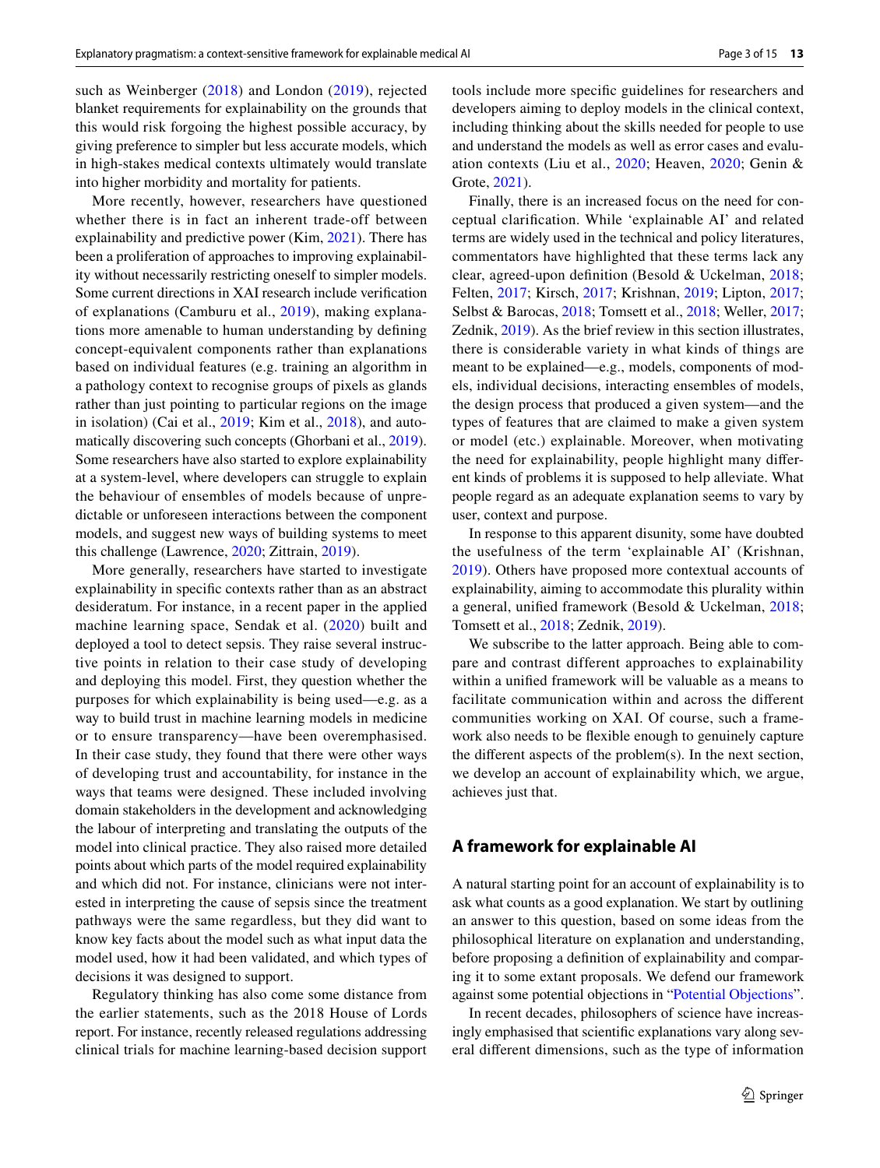such as Weinberger ([2018](#page-14-3)) and London ([2019\)](#page-13-8), rejected blanket requirements for explainability on the grounds that this would risk forgoing the highest possible accuracy, by giving preference to simpler but less accurate models, which in high-stakes medical contexts ultimately would translate into higher morbidity and mortality for patients.

More recently, however, researchers have questioned whether there is in fact an inherent trade-off between explainability and predictive power (Kim, [2021\)](#page-13-6). There has been a proliferation of approaches to improving explainability without necessarily restricting oneself to simpler models. Some current directions in XAI research include verifcation of explanations (Camburu et al., [2019](#page-12-5)), making explanations more amenable to human understanding by defning concept-equivalent components rather than explanations based on individual features (e.g. training an algorithm in a pathology context to recognise groups of pixels as glands rather than just pointing to particular regions on the image in isolation) (Cai et al., [2019](#page-12-6); Kim et al., [2018\)](#page-13-9), and automatically discovering such concepts (Ghorbani et al., [2019](#page-13-10)). Some researchers have also started to explore explainability at a system-level, where developers can struggle to explain the behaviour of ensembles of models because of unpredictable or unforeseen interactions between the component models, and suggest new ways of building systems to meet this challenge (Lawrence, [2020](#page-13-11); Zittrain, [2019\)](#page-14-4).

More generally, researchers have started to investigate explainability in specifc contexts rather than as an abstract desideratum. For instance, in a recent paper in the applied machine learning space, Sendak et al. ([2020\)](#page-14-5) built and deployed a tool to detect sepsis. They raise several instructive points in relation to their case study of developing and deploying this model. First, they question whether the purposes for which explainability is being used—e.g. as a way to build trust in machine learning models in medicine or to ensure transparency—have been overemphasised. In their case study, they found that there were other ways of developing trust and accountability, for instance in the ways that teams were designed. These included involving domain stakeholders in the development and acknowledging the labour of interpreting and translating the outputs of the model into clinical practice. They also raised more detailed points about which parts of the model required explainability and which did not. For instance, clinicians were not interested in interpreting the cause of sepsis since the treatment pathways were the same regardless, but they did want to know key facts about the model such as what input data the model used, how it had been validated, and which types of decisions it was designed to support.

Regulatory thinking has also come some distance from the earlier statements, such as the 2018 House of Lords report. For instance, recently released regulations addressing clinical trials for machine learning-based decision support tools include more specifc guidelines for researchers and developers aiming to deploy models in the clinical context, including thinking about the skills needed for people to use and understand the models as well as error cases and evaluation contexts (Liu et al., [2020](#page-13-12); Heaven, [2020;](#page-13-13) Genin & Grote, [2021](#page-13-14)).

Finally, there is an increased focus on the need for conceptual clarifcation. While 'explainable AI' and related terms are widely used in the technical and policy literatures, commentators have highlighted that these terms lack any clear, agreed-upon defnition (Besold & Uckelman, [2018](#page-12-7); Felten, [2017;](#page-13-15) Kirsch, [2017;](#page-13-16) Krishnan, [2019](#page-13-17); Lipton, [2017](#page-13-5); Selbst & Barocas, [2018;](#page-13-18) Tomsett et al., [2018;](#page-14-2) Weller, [2017](#page-14-6); Zednik, [2019](#page-14-7)). As the brief review in this section illustrates, there is considerable variety in what kinds of things are meant to be explained—e.g., models, components of models, individual decisions, interacting ensembles of models, the design process that produced a given system—and the types of features that are claimed to make a given system or model (etc.) explainable. Moreover, when motivating the need for explainability, people highlight many diferent kinds of problems it is supposed to help alleviate. What people regard as an adequate explanation seems to vary by user, context and purpose.

In response to this apparent disunity, some have doubted the usefulness of the term 'explainable AI' (Krishnan, [2019\)](#page-13-17). Others have proposed more contextual accounts of explainability, aiming to accommodate this plurality within a general, unifed framework (Besold & Uckelman, [2018](#page-12-7); Tomsett et al., [2018;](#page-14-2) Zednik, [2019](#page-14-7)).

We subscribe to the latter approach. Being able to compare and contrast different approaches to explainability within a unifed framework will be valuable as a means to facilitate communication within and across the diferent communities working on XAI. Of course, such a framework also needs to be fexible enough to genuinely capture the diferent aspects of the problem(s). In the next section, we develop an account of explainability which, we argue, achieves just that.

## <span id="page-2-0"></span>**A framework for explainable AI**

A natural starting point for an account of explainability is to ask what counts as a good explanation. We start by outlining an answer to this question, based on some ideas from the philosophical literature on explanation and understanding, before proposing a defnition of explainability and comparing it to some extant proposals. We defend our framework against some potential objections in "[Potential Objections](#page-5-0)".

In recent decades, philosophers of science have increasingly emphasised that scientifc explanations vary along several diferent dimensions, such as the type of information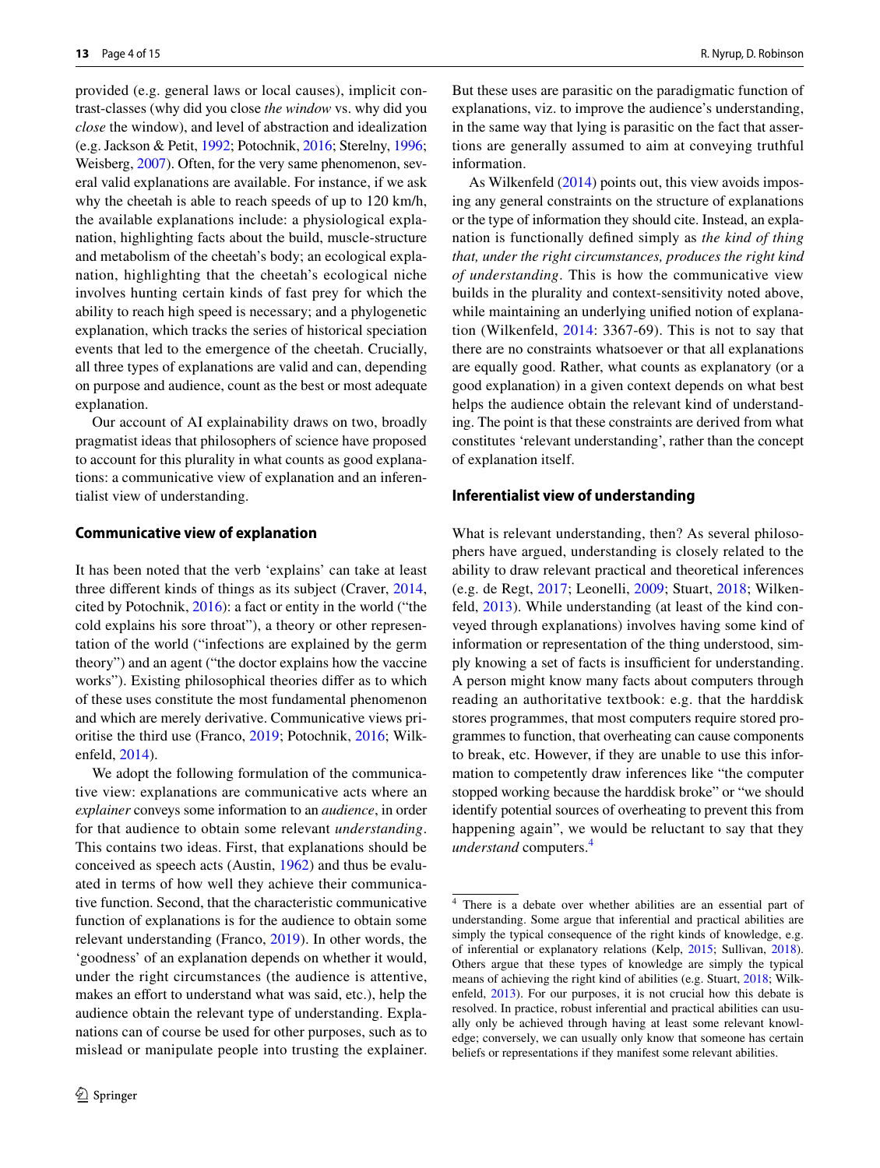provided (e.g. general laws or local causes), implicit contrast-classes (why did you close *the window* vs. why did you *close* the window), and level of abstraction and idealization (e.g. Jackson & Petit, [1992;](#page-13-19) Potochnik, [2016;](#page-13-20) Sterelny, [1996](#page-14-8); Weisberg, [2007](#page-14-9)). Often, for the very same phenomenon, several valid explanations are available. For instance, if we ask why the cheetah is able to reach speeds of up to 120 km/h, the available explanations include: a physiological explanation, highlighting facts about the build, muscle-structure and metabolism of the cheetah's body; an ecological explanation, highlighting that the cheetah's ecological niche involves hunting certain kinds of fast prey for which the ability to reach high speed is necessary; and a phylogenetic explanation, which tracks the series of historical speciation events that led to the emergence of the cheetah. Crucially, all three types of explanations are valid and can, depending on purpose and audience, count as the best or most adequate explanation.

Our account of AI explainability draws on two, broadly pragmatist ideas that philosophers of science have proposed to account for this plurality in what counts as good explanations: a communicative view of explanation and an inferentialist view of understanding.

#### **Communicative view of explanation**

It has been noted that the verb 'explains' can take at least three diferent kinds of things as its subject (Craver, [2014,](#page-13-21) cited by Potochnik, [2016](#page-13-20)): a fact or entity in the world ("the cold explains his sore throat"), a theory or other representation of the world ("infections are explained by the germ theory") and an agent ("the doctor explains how the vaccine works"). Existing philosophical theories difer as to which of these uses constitute the most fundamental phenomenon and which are merely derivative. Communicative views prioritise the third use (Franco, [2019](#page-13-22); Potochnik, [2016;](#page-13-20) Wilkenfeld, [2014](#page-14-10)).

We adopt the following formulation of the communicative view: explanations are communicative acts where an *explainer* conveys some information to an *audience*, in order for that audience to obtain some relevant *understanding*. This contains two ideas. First, that explanations should be conceived as speech acts (Austin, [1962](#page-12-8)) and thus be evaluated in terms of how well they achieve their communicative function. Second, that the characteristic communicative function of explanations is for the audience to obtain some relevant understanding (Franco, [2019](#page-13-22)). In other words, the 'goodness' of an explanation depends on whether it would, under the right circumstances (the audience is attentive, makes an effort to understand what was said, etc.), help the audience obtain the relevant type of understanding. Explanations can of course be used for other purposes, such as to mislead or manipulate people into trusting the explainer. But these uses are parasitic on the paradigmatic function of explanations, viz. to improve the audience's understanding, in the same way that lying is parasitic on the fact that assertions are generally assumed to aim at conveying truthful information.

As Wilkenfeld ([2014\)](#page-14-10) points out, this view avoids imposing any general constraints on the structure of explanations or the type of information they should cite. Instead, an explanation is functionally defned simply as *the kind of thing that, under the right circumstances, produces the right kind of understanding*. This is how the communicative view builds in the plurality and context-sensitivity noted above, while maintaining an underlying unifed notion of explanation (Wilkenfeld, [2014:](#page-14-10) 3367-69). This is not to say that there are no constraints whatsoever or that all explanations are equally good. Rather, what counts as explanatory (or a good explanation) in a given context depends on what best helps the audience obtain the relevant kind of understanding. The point is that these constraints are derived from what constitutes 'relevant understanding', rather than the concept of explanation itself.

#### <span id="page-3-1"></span>**Inferentialist view of understanding**

What is relevant understanding, then? As several philosophers have argued, understanding is closely related to the ability to draw relevant practical and theoretical inferences (e.g. de Regt, [2017](#page-13-23); Leonelli, [2009;](#page-13-24) Stuart, [2018;](#page-14-11) Wilkenfeld, [2013](#page-14-12)). While understanding (at least of the kind conveyed through explanations) involves having some kind of information or representation of the thing understood, simply knowing a set of facts is insufficient for understanding. A person might know many facts about computers through reading an authoritative textbook: e.g. that the harddisk stores programmes, that most computers require stored programmes to function, that overheating can cause components to break, etc. However, if they are unable to use this information to competently draw inferences like "the computer stopped working because the harddisk broke" or "we should identify potential sources of overheating to prevent this from happening again", we would be reluctant to say that they *understand* computers.

<span id="page-3-0"></span><sup>4</sup> There is a debate over whether abilities are an essential part of understanding. Some argue that inferential and practical abilities are simply the typical consequence of the right kinds of knowledge, e.g. of inferential or explanatory relations (Kelp, [2015;](#page-13-25) Sullivan, [2018](#page-14-13)). Others argue that these types of knowledge are simply the typical means of achieving the right kind of abilities (e.g. Stuart, [2018](#page-14-11); Wilkenfeld, [2013](#page-14-12)). For our purposes, it is not crucial how this debate is resolved. In practice, robust inferential and practical abilities can usually only be achieved through having at least some relevant knowledge; conversely, we can usually only know that someone has certain beliefs or representations if they manifest some relevant abilities.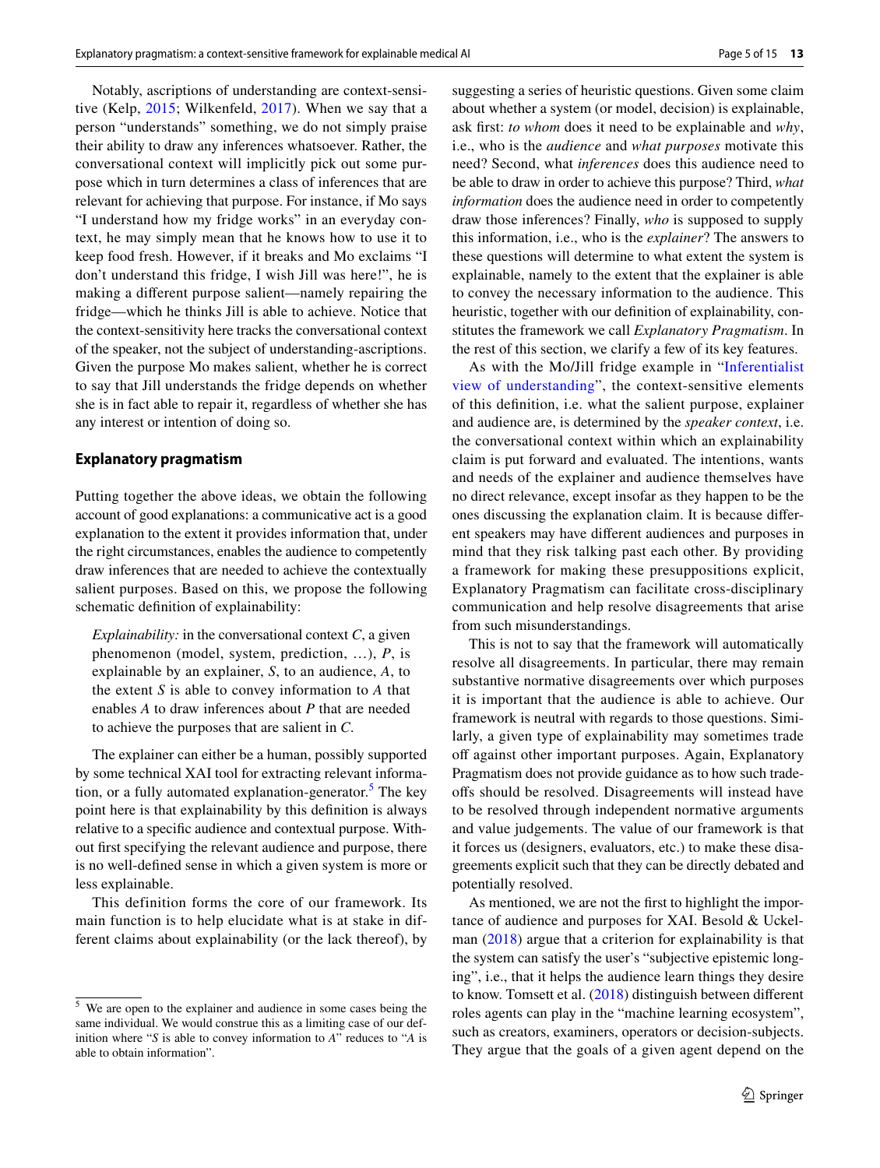Notably, ascriptions of understanding are context-sensitive (Kelp, [2015](#page-13-25); Wilkenfeld, [2017\)](#page-14-14). When we say that a person "understands" something, we do not simply praise their ability to draw any inferences whatsoever. Rather, the conversational context will implicitly pick out some purpose which in turn determines a class of inferences that are relevant for achieving that purpose. For instance, if Mo says "I understand how my fridge works" in an everyday context, he may simply mean that he knows how to use it to keep food fresh. However, if it breaks and Mo exclaims "I don't understand this fridge, I wish Jill was here!", he is making a diferent purpose salient—namely repairing the fridge—which he thinks Jill is able to achieve. Notice that the context-sensitivity here tracks the conversational context of the speaker, not the subject of understanding-ascriptions. Given the purpose Mo makes salient, whether he is correct to say that Jill understands the fridge depends on whether she is in fact able to repair it, regardless of whether she has any interest or intention of doing so.

#### <span id="page-4-1"></span>**Explanatory pragmatism**

Putting together the above ideas, we obtain the following account of good explanations: a communicative act is a good explanation to the extent it provides information that, under the right circumstances, enables the audience to competently draw inferences that are needed to achieve the contextually salient purposes. Based on this, we propose the following schematic defnition of explainability:

*Explainability:* in the conversational context *C*, a given phenomenon (model, system, prediction, …), *P*, is explainable by an explainer, *S*, to an audience, *A*, to the extent *S* is able to convey information to *A* that enables *A* to draw inferences about *P* that are needed to achieve the purposes that are salient in *C*.

The explainer can either be a human, possibly supported by some technical XAI tool for extracting relevant informa-tion, or a fully automated explanation-generator.<sup>[5](#page-4-0)</sup> The key point here is that explainability by this defnition is always relative to a specifc audience and contextual purpose. Without frst specifying the relevant audience and purpose, there is no well-defned sense in which a given system is more or less explainable.

This definition forms the core of our framework. Its main function is to help elucidate what is at stake in different claims about explainability (or the lack thereof), by suggesting a series of heuristic questions. Given some claim about whether a system (or model, decision) is explainable, ask frst: *to whom* does it need to be explainable and *why*, i.e., who is the *audience* and *what purposes* motivate this need? Second, what *inferences* does this audience need to be able to draw in order to achieve this purpose? Third, *what information* does the audience need in order to competently draw those inferences? Finally, *who* is supposed to supply this information, i.e., who is the *explainer*? The answers to these questions will determine to what extent the system is explainable, namely to the extent that the explainer is able to convey the necessary information to the audience. This heuristic, together with our defnition of explainability, constitutes the framework we call *Explanatory Pragmatism*. In the rest of this section, we clarify a few of its key features.

As with the Mo/Jill fridge example in ["Inferentialist](#page-3-1) [view of understanding](#page-3-1)", the context-sensitive elements of this defnition, i.e. what the salient purpose, explainer and audience are, is determined by the *speaker context*, i.e. the conversational context within which an explainability claim is put forward and evaluated. The intentions, wants and needs of the explainer and audience themselves have no direct relevance, except insofar as they happen to be the ones discussing the explanation claim. It is because diferent speakers may have diferent audiences and purposes in mind that they risk talking past each other. By providing a framework for making these presuppositions explicit, Explanatory Pragmatism can facilitate cross-disciplinary communication and help resolve disagreements that arise from such misunderstandings.

This is not to say that the framework will automatically resolve all disagreements. In particular, there may remain substantive normative disagreements over which purposes it is important that the audience is able to achieve. Our framework is neutral with regards to those questions. Similarly, a given type of explainability may sometimes trade off against other important purposes. Again, Explanatory Pragmatism does not provide guidance as to how such tradeofs should be resolved. Disagreements will instead have to be resolved through independent normative arguments and value judgements. The value of our framework is that it forces us (designers, evaluators, etc.) to make these disagreements explicit such that they can be directly debated and potentially resolved.

As mentioned, we are not the frst to highlight the importance of audience and purposes for XAI. Besold & Uckelman ([2018](#page-12-7)) argue that a criterion for explainability is that the system can satisfy the user's "subjective epistemic longing", i.e., that it helps the audience learn things they desire to know. Tomsett et al. [\(2018\)](#page-14-2) distinguish between diferent roles agents can play in the "machine learning ecosystem", such as creators, examiners, operators or decision-subjects. They argue that the goals of a given agent depend on the

<span id="page-4-0"></span><sup>5</sup> We are open to the explainer and audience in some cases being the same individual. We would construe this as a limiting case of our definition where "*S* is able to convey information to *A*" reduces to "*A* is able to obtain information".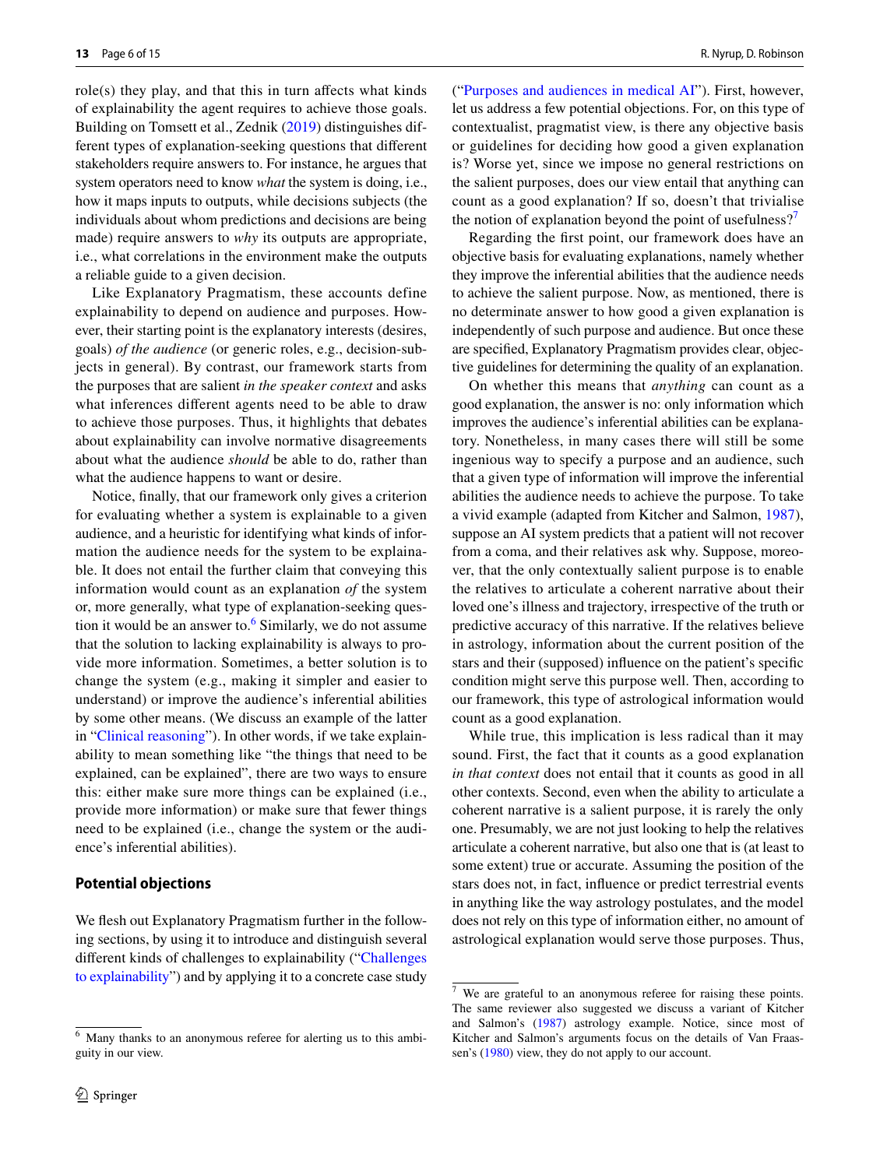$role(s)$  they play, and that this in turn affects what kinds of explainability the agent requires to achieve those goals. Building on Tomsett et al., Zednik ([2019](#page-14-7)) distinguishes different types of explanation-seeking questions that diferent stakeholders require answers to. For instance, he argues that system operators need to know *what* the system is doing, i.e., how it maps inputs to outputs, while decisions subjects (the individuals about whom predictions and decisions are being made) require answers to *why* its outputs are appropriate, i.e., what correlations in the environment make the outputs a reliable guide to a given decision.

Like Explanatory Pragmatism, these accounts define explainability to depend on audience and purposes. However, their starting point is the explanatory interests (desires, goals) *of the audience* (or generic roles, e.g., decision-subjects in general). By contrast, our framework starts from the purposes that are salient *in the speaker context* and asks what inferences diferent agents need to be able to draw to achieve those purposes. Thus, it highlights that debates about explainability can involve normative disagreements about what the audience *should* be able to do, rather than what the audience happens to want or desire.

Notice, fnally, that our framework only gives a criterion for evaluating whether a system is explainable to a given audience, and a heuristic for identifying what kinds of information the audience needs for the system to be explainable. It does not entail the further claim that conveying this information would count as an explanation *of* the system or, more generally, what type of explanation-seeking question it would be an answer to. $<sup>6</sup>$  $<sup>6</sup>$  $<sup>6</sup>$  Similarly, we do not assume</sup> that the solution to lacking explainability is always to provide more information. Sometimes, a better solution is to change the system (e.g., making it simpler and easier to understand) or improve the audience's inferential abilities by some other means. (We discuss an example of the latter in "[Clinical reasoning](#page-10-0)"). In other words, if we take explainability to mean something like "the things that need to be explained, can be explained", there are two ways to ensure this: either make sure more things can be explained (i.e., provide more information) or make sure that fewer things need to be explained (i.e., change the system or the audience's inferential abilities).

#### <span id="page-5-0"></span>**Potential objections**

We flesh out Explanatory Pragmatism further in the following sections, by using it to introduce and distinguish several diferent kinds of challenges to explainability (["Challenges](#page-6-0) [to explainability"](#page-6-0)) and by applying it to a concrete case study

("[Purposes and audiences in medical AI"](#page-8-0)). First, however, let us address a few potential objections. For, on this type of contextualist, pragmatist view, is there any objective basis or guidelines for deciding how good a given explanation is? Worse yet, since we impose no general restrictions on the salient purposes, does our view entail that anything can count as a good explanation? If so, doesn't that trivialise the notion of explanation beyond the point of usefulness?<sup>[7](#page-5-2)</sup>

Regarding the frst point, our framework does have an objective basis for evaluating explanations, namely whether they improve the inferential abilities that the audience needs to achieve the salient purpose. Now, as mentioned, there is no determinate answer to how good a given explanation is independently of such purpose and audience. But once these are specifed, Explanatory Pragmatism provides clear, objective guidelines for determining the quality of an explanation.

On whether this means that *anything* can count as a good explanation, the answer is no: only information which improves the audience's inferential abilities can be explanatory. Nonetheless, in many cases there will still be some ingenious way to specify a purpose and an audience, such that a given type of information will improve the inferential abilities the audience needs to achieve the purpose. To take a vivid example (adapted from Kitcher and Salmon, [1987](#page-13-26)), suppose an AI system predicts that a patient will not recover from a coma, and their relatives ask why. Suppose, moreover, that the only contextually salient purpose is to enable the relatives to articulate a coherent narrative about their loved one's illness and trajectory, irrespective of the truth or predictive accuracy of this narrative. If the relatives believe in astrology, information about the current position of the stars and their (supposed) infuence on the patient's specifc condition might serve this purpose well. Then, according to our framework, this type of astrological information would count as a good explanation.

While true, this implication is less radical than it may sound. First, the fact that it counts as a good explanation *in that context* does not entail that it counts as good in all other contexts. Second, even when the ability to articulate a coherent narrative is a salient purpose, it is rarely the only one. Presumably, we are not just looking to help the relatives articulate a coherent narrative, but also one that is (at least to some extent) true or accurate. Assuming the position of the stars does not, in fact, infuence or predict terrestrial events in anything like the way astrology postulates, and the model does not rely on this type of information either, no amount of astrological explanation would serve those purposes. Thus,

<span id="page-5-1"></span><sup>6</sup> Many thanks to an anonymous referee for alerting us to this ambiguity in our view.

<span id="page-5-2"></span><sup>7</sup> We are grateful to an anonymous referee for raising these points. The same reviewer also suggested we discuss a variant of Kitcher and Salmon's ([1987\)](#page-13-26) astrology example. Notice, since most of Kitcher and Salmon's arguments focus on the details of Van Fraassen's ([1980\)](#page-14-15) view, they do not apply to our account.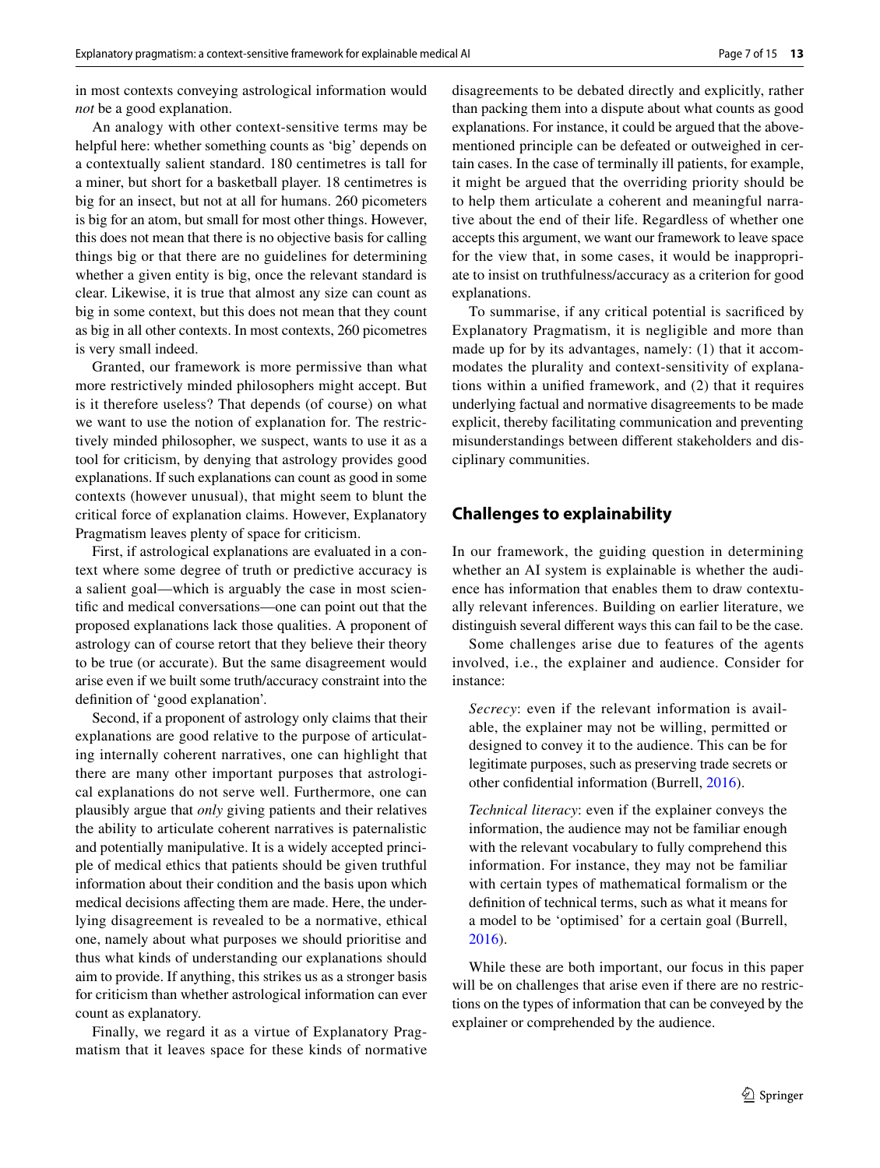in most contexts conveying astrological information would *not* be a good explanation.

An analogy with other context-sensitive terms may be helpful here: whether something counts as 'big' depends on a contextually salient standard. 180 centimetres is tall for a miner, but short for a basketball player. 18 centimetres is big for an insect, but not at all for humans. 260 picometers is big for an atom, but small for most other things. However, this does not mean that there is no objective basis for calling things big or that there are no guidelines for determining whether a given entity is big, once the relevant standard is clear. Likewise, it is true that almost any size can count as big in some context, but this does not mean that they count as big in all other contexts. In most contexts, 260 picometres is very small indeed.

Granted, our framework is more permissive than what more restrictively minded philosophers might accept. But is it therefore useless? That depends (of course) on what we want to use the notion of explanation for. The restrictively minded philosopher, we suspect, wants to use it as a tool for criticism, by denying that astrology provides good explanations. If such explanations can count as good in some contexts (however unusual), that might seem to blunt the critical force of explanation claims. However, Explanatory Pragmatism leaves plenty of space for criticism.

First, if astrological explanations are evaluated in a context where some degree of truth or predictive accuracy is a salient goal—which is arguably the case in most scientifc and medical conversations—one can point out that the proposed explanations lack those qualities. A proponent of astrology can of course retort that they believe their theory to be true (or accurate). But the same disagreement would arise even if we built some truth/accuracy constraint into the defnition of 'good explanation'.

Second, if a proponent of astrology only claims that their explanations are good relative to the purpose of articulating internally coherent narratives, one can highlight that there are many other important purposes that astrological explanations do not serve well. Furthermore, one can plausibly argue that *only* giving patients and their relatives the ability to articulate coherent narratives is paternalistic and potentially manipulative. It is a widely accepted principle of medical ethics that patients should be given truthful information about their condition and the basis upon which medical decisions afecting them are made. Here, the underlying disagreement is revealed to be a normative, ethical one, namely about what purposes we should prioritise and thus what kinds of understanding our explanations should aim to provide. If anything, this strikes us as a stronger basis for criticism than whether astrological information can ever count as explanatory.

Finally, we regard it as a virtue of Explanatory Pragmatism that it leaves space for these kinds of normative disagreements to be debated directly and explicitly, rather than packing them into a dispute about what counts as good explanations. For instance, it could be argued that the abovementioned principle can be defeated or outweighed in certain cases. In the case of terminally ill patients, for example, it might be argued that the overriding priority should be to help them articulate a coherent and meaningful narrative about the end of their life. Regardless of whether one accepts this argument, we want our framework to leave space for the view that, in some cases, it would be inappropriate to insist on truthfulness/accuracy as a criterion for good explanations.

To summarise, if any critical potential is sacrifced by Explanatory Pragmatism, it is negligible and more than made up for by its advantages, namely: (1) that it accommodates the plurality and context-sensitivity of explanations within a unifed framework, and (2) that it requires underlying factual and normative disagreements to be made explicit, thereby facilitating communication and preventing misunderstandings between diferent stakeholders and disciplinary communities.

# <span id="page-6-0"></span>**Challenges to explainability**

In our framework, the guiding question in determining whether an AI system is explainable is whether the audience has information that enables them to draw contextually relevant inferences. Building on earlier literature, we distinguish several diferent ways this can fail to be the case.

Some challenges arise due to features of the agents involved, i.e., the explainer and audience. Consider for instance:

*Secrecy*: even if the relevant information is available, the explainer may not be willing, permitted or designed to convey it to the audience. This can be for legitimate purposes, such as preserving trade secrets or other confdential information (Burrell, [2016](#page-12-1)).

*Technical literacy*: even if the explainer conveys the information, the audience may not be familiar enough with the relevant vocabulary to fully comprehend this information. For instance, they may not be familiar with certain types of mathematical formalism or the defnition of technical terms, such as what it means for a model to be 'optimised' for a certain goal (Burrell, [2016\)](#page-12-1).

While these are both important, our focus in this paper will be on challenges that arise even if there are no restrictions on the types of information that can be conveyed by the explainer or comprehended by the audience.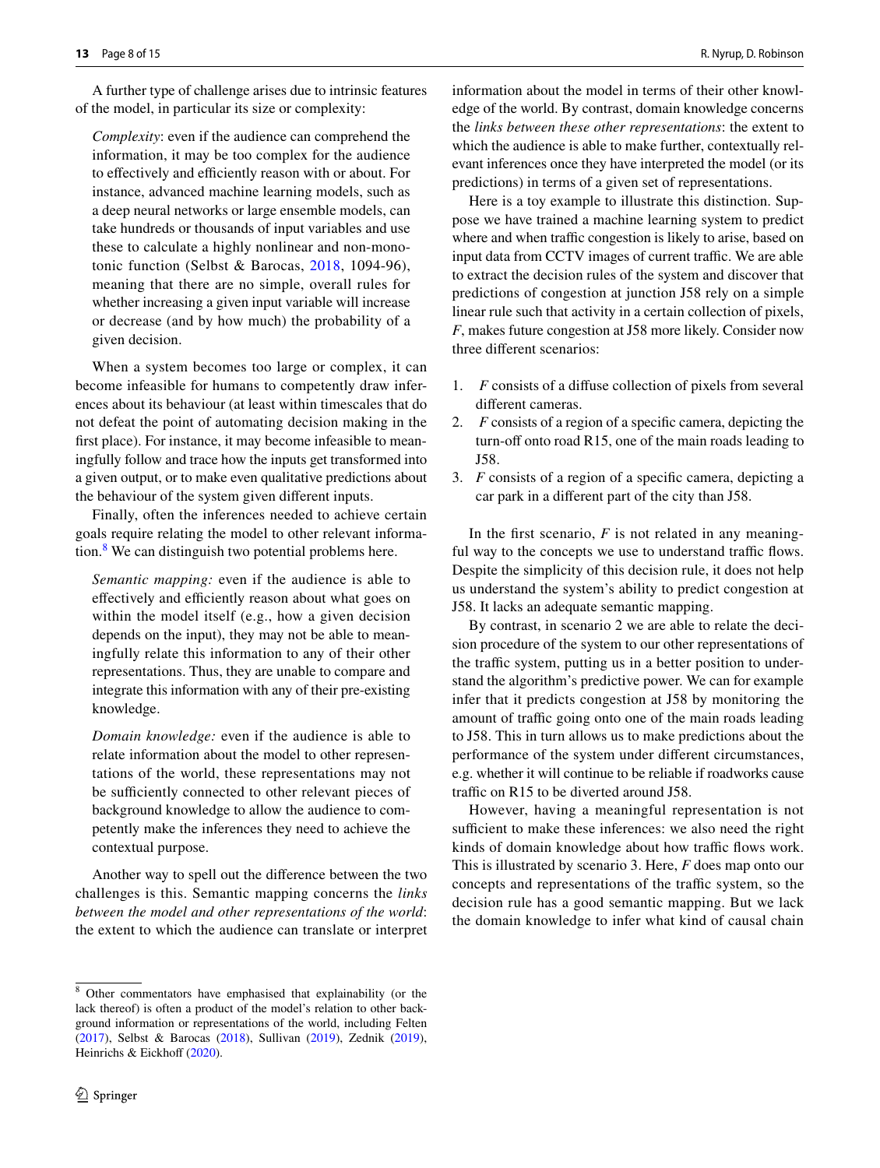A further type of challenge arises due to intrinsic features of the model, in particular its size or complexity:

*Complexity*: even if the audience can comprehend the information, it may be too complex for the audience to effectively and efficiently reason with or about. For instance, advanced machine learning models, such as a deep neural networks or large ensemble models, can take hundreds or thousands of input variables and use these to calculate a highly nonlinear and non-monotonic function (Selbst & Barocas, [2018,](#page-13-18) 1094-96), meaning that there are no simple, overall rules for whether increasing a given input variable will increase or decrease (and by how much) the probability of a given decision.

When a system becomes too large or complex, it can become infeasible for humans to competently draw inferences about its behaviour (at least within timescales that do not defeat the point of automating decision making in the frst place). For instance, it may become infeasible to meaningfully follow and trace how the inputs get transformed into a given output, or to make even qualitative predictions about the behaviour of the system given diferent inputs.

Finally, often the inferences needed to achieve certain goals require relating the model to other relevant informa-tion.<sup>[8](#page-7-0)</sup> We can distinguish two potential problems here.

*Semantic mapping:* even if the audience is able to effectively and efficiently reason about what goes on within the model itself (e.g., how a given decision depends on the input), they may not be able to meaningfully relate this information to any of their other representations. Thus, they are unable to compare and integrate this information with any of their pre-existing knowledge.

*Domain knowledge:* even if the audience is able to relate information about the model to other representations of the world, these representations may not be sufficiently connected to other relevant pieces of background knowledge to allow the audience to competently make the inferences they need to achieve the contextual purpose.

Another way to spell out the diference between the two challenges is this. Semantic mapping concerns the *links between the model and other representations of the world*: the extent to which the audience can translate or interpret information about the model in terms of their other knowledge of the world. By contrast, domain knowledge concerns the *links between these other representations*: the extent to which the audience is able to make further, contextually relevant inferences once they have interpreted the model (or its predictions) in terms of a given set of representations.

Here is a toy example to illustrate this distinction. Suppose we have trained a machine learning system to predict where and when traffic congestion is likely to arise, based on input data from CCTV images of current traffic. We are able to extract the decision rules of the system and discover that predictions of congestion at junction J58 rely on a simple linear rule such that activity in a certain collection of pixels, *F*, makes future congestion at J58 more likely. Consider now three diferent scenarios:

- 1. *F* consists of a difuse collection of pixels from several diferent cameras.
- 2. *F* consists of a region of a specifc camera, depicting the turn-off onto road R15, one of the main roads leading to J58.
- 3. *F* consists of a region of a specifc camera, depicting a car park in a diferent part of the city than J58.

In the first scenario,  $F$  is not related in any meaningful way to the concepts we use to understand traffic flows. Despite the simplicity of this decision rule, it does not help us understand the system's ability to predict congestion at J58. It lacks an adequate semantic mapping.

By contrast, in scenario 2 we are able to relate the decision procedure of the system to our other representations of the traffic system, putting us in a better position to understand the algorithm's predictive power. We can for example infer that it predicts congestion at J58 by monitoring the amount of traffic going onto one of the main roads leading to J58. This in turn allows us to make predictions about the performance of the system under diferent circumstances, e.g. whether it will continue to be reliable if roadworks cause traffic on R15 to be diverted around J58.

However, having a meaningful representation is not sufficient to make these inferences: we also need the right kinds of domain knowledge about how traffic flows work. This is illustrated by scenario 3. Here, *F* does map onto our concepts and representations of the traffic system, so the decision rule has a good semantic mapping. But we lack the domain knowledge to infer what kind of causal chain

<span id="page-7-0"></span><sup>8</sup> Other commentators have emphasised that explainability (or the lack thereof) is often a product of the model's relation to other background information or representations of the world, including Felten ([2017\)](#page-13-15), Selbst & Barocas [\(2018](#page-13-18)), Sullivan [\(2019](#page-14-16)), Zednik [\(2019](#page-14-7)), Heinrichs & Eickhoff ([2020\)](#page-13-27).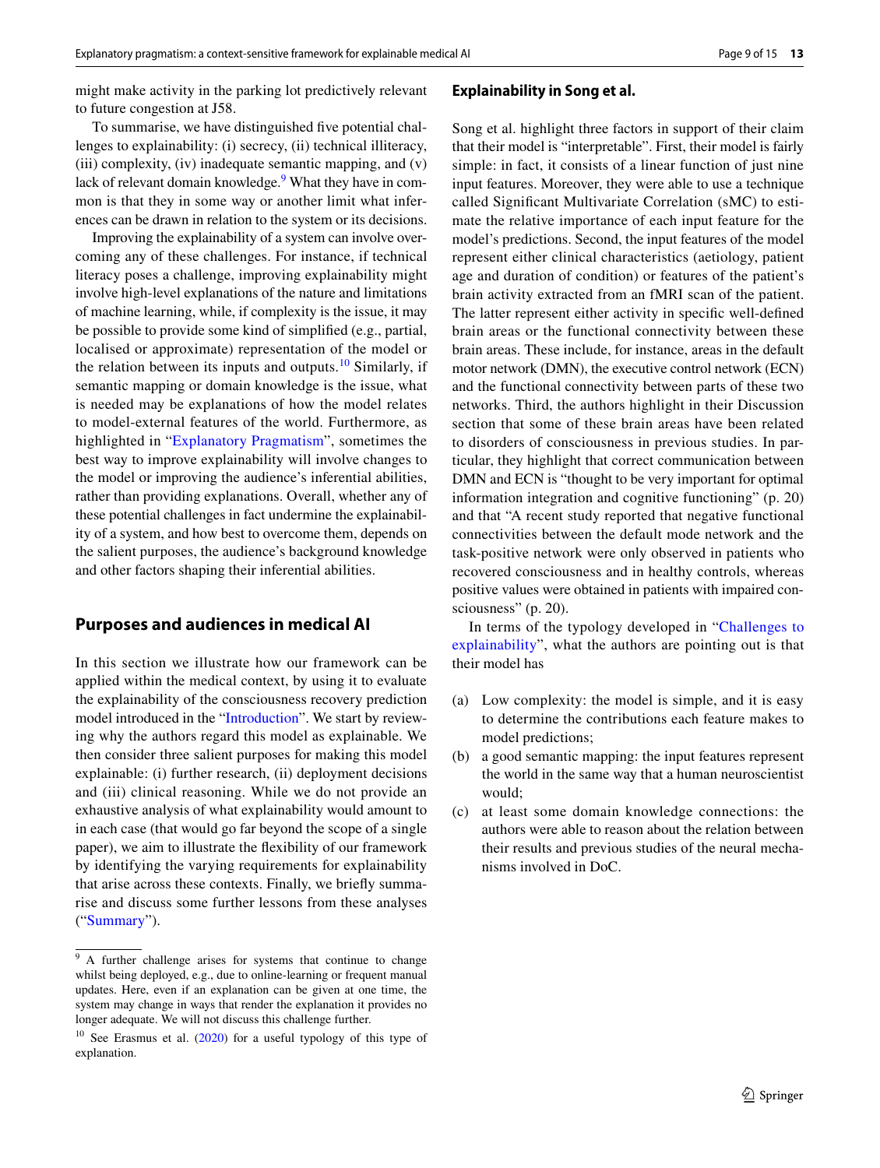might make activity in the parking lot predictively relevant to future congestion at J58.

To summarise, we have distinguished fve potential challenges to explainability: (i) secrecy, (ii) technical illiteracy, (iii) complexity, (iv) inadequate semantic mapping, and (v) lack of relevant domain knowledge.<sup>9</sup> What they have in common is that they in some way or another limit what inferences can be drawn in relation to the system or its decisions.

Improving the explainability of a system can involve overcoming any of these challenges. For instance, if technical literacy poses a challenge, improving explainability might involve high-level explanations of the nature and limitations of machine learning, while, if complexity is the issue, it may be possible to provide some kind of simplifed (e.g., partial, localised or approximate) representation of the model or the relation between its inputs and outputs. $10$  Similarly, if semantic mapping or domain knowledge is the issue, what is needed may be explanations of how the model relates to model-external features of the world. Furthermore, as highlighted in "[Explanatory Pragmatism](#page-4-1)", sometimes the best way to improve explainability will involve changes to the model or improving the audience's inferential abilities, rather than providing explanations. Overall, whether any of these potential challenges in fact undermine the explainability of a system, and how best to overcome them, depends on the salient purposes, the audience's background knowledge and other factors shaping their inferential abilities.

# <span id="page-8-0"></span>**Purposes and audiences in medical AI**

In this section we illustrate how our framework can be applied within the medical context, by using it to evaluate the explainability of the consciousness recovery prediction model introduced in the "[Introduction](#page-0-2)". We start by reviewing why the authors regard this model as explainable. We then consider three salient purposes for making this model explainable: (i) further research, (ii) deployment decisions and (iii) clinical reasoning. While we do not provide an exhaustive analysis of what explainability would amount to in each case (that would go far beyond the scope of a single paper), we aim to illustrate the fexibility of our framework by identifying the varying requirements for explainability that arise across these contexts. Finally, we briefy summarise and discuss some further lessons from these analyses ("[Summary](#page-11-0)").

#### **Explainability in Song et al.**

Song et al. highlight three factors in support of their claim that their model is "interpretable". First, their model is fairly simple: in fact, it consists of a linear function of just nine input features. Moreover, they were able to use a technique called Signifcant Multivariate Correlation (sMC) to estimate the relative importance of each input feature for the model's predictions. Second, the input features of the model represent either clinical characteristics (aetiology, patient age and duration of condition) or features of the patient's brain activity extracted from an fMRI scan of the patient. The latter represent either activity in specifc well-defned brain areas or the functional connectivity between these brain areas. These include, for instance, areas in the default motor network (DMN), the executive control network (ECN) and the functional connectivity between parts of these two networks. Third, the authors highlight in their Discussion section that some of these brain areas have been related to disorders of consciousness in previous studies. In particular, they highlight that correct communication between DMN and ECN is "thought to be very important for optimal information integration and cognitive functioning" (p. 20) and that "A recent study reported that negative functional connectivities between the default mode network and the task-positive network were only observed in patients who recovered consciousness and in healthy controls, whereas positive values were obtained in patients with impaired consciousness" (p. 20).

In terms of the typology developed in "[Challenges to](#page-6-0) [explainability"](#page-6-0), what the authors are pointing out is that their model has

- (a) Low complexity: the model is simple, and it is easy to determine the contributions each feature makes to model predictions;
- (b) a good semantic mapping: the input features represent the world in the same way that a human neuroscientist would;
- (c) at least some domain knowledge connections: the authors were able to reason about the relation between their results and previous studies of the neural mechanisms involved in DoC.

<span id="page-8-1"></span> $\overline{9}$  A further challenge arises for systems that continue to change whilst being deployed, e.g., due to online-learning or frequent manual updates. Here, even if an explanation can be given at one time, the system may change in ways that render the explanation it provides no longer adequate. We will not discuss this challenge further.

<span id="page-8-2"></span> $10$  See Erasmus et al. ([2020\)](#page-13-28) for a useful typology of this type of explanation.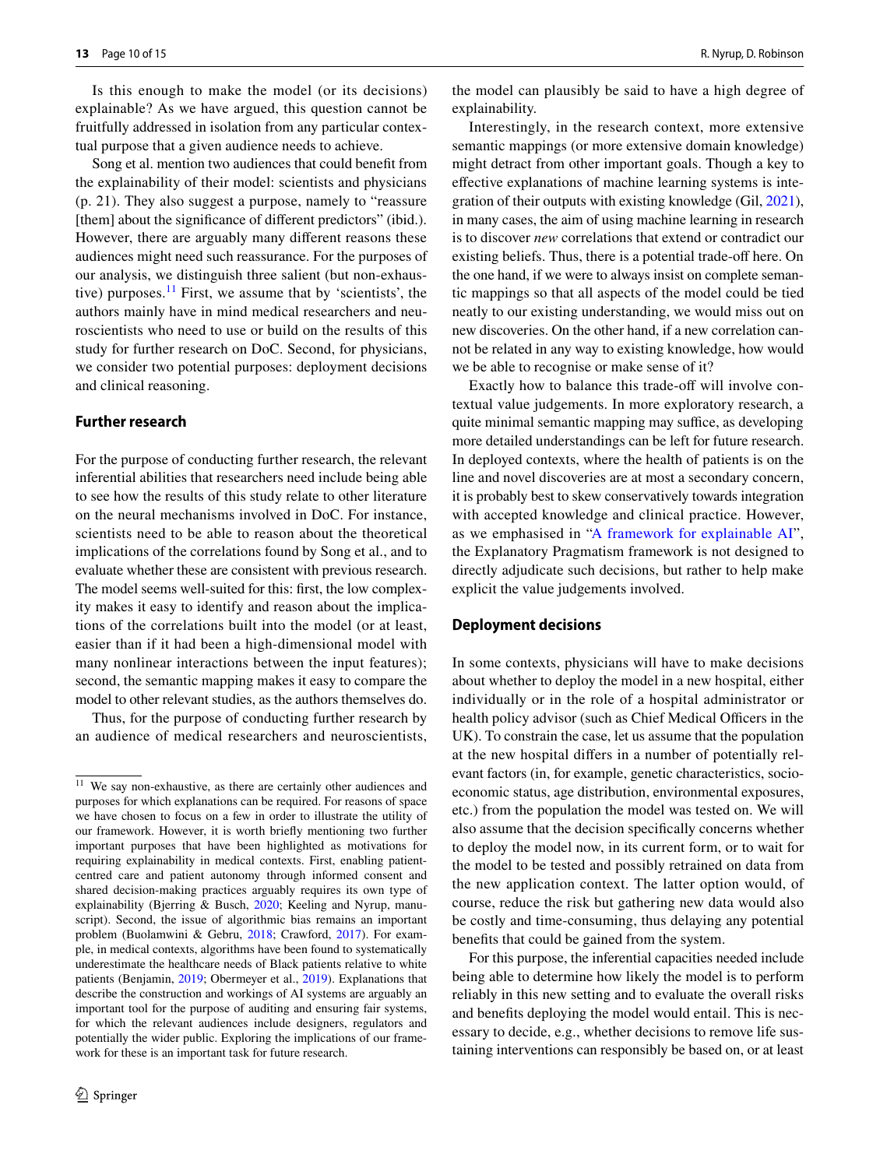Is this enough to make the model (or its decisions) explainable? As we have argued, this question cannot be fruitfully addressed in isolation from any particular contextual purpose that a given audience needs to achieve.

Song et al. mention two audiences that could beneft from the explainability of their model: scientists and physicians (p. 21). They also suggest a purpose, namely to "reassure [them] about the significance of different predictors" (ibid.). However, there are arguably many diferent reasons these audiences might need such reassurance. For the purposes of our analysis, we distinguish three salient (but non-exhaustive) purposes.<sup>11</sup> First, we assume that by 'scientists', the authors mainly have in mind medical researchers and neuroscientists who need to use or build on the results of this study for further research on DoC. Second, for physicians, we consider two potential purposes: deployment decisions and clinical reasoning.

## **Further research**

For the purpose of conducting further research, the relevant inferential abilities that researchers need include being able to see how the results of this study relate to other literature on the neural mechanisms involved in DoC. For instance, scientists need to be able to reason about the theoretical implications of the correlations found by Song et al., and to evaluate whether these are consistent with previous research. The model seems well-suited for this: frst, the low complexity makes it easy to identify and reason about the implications of the correlations built into the model (or at least, easier than if it had been a high-dimensional model with many nonlinear interactions between the input features); second, the semantic mapping makes it easy to compare the model to other relevant studies, as the authors themselves do.

Thus, for the purpose of conducting further research by an audience of medical researchers and neuroscientists,

the model can plausibly be said to have a high degree of explainability.

Interestingly, in the research context, more extensive semantic mappings (or more extensive domain knowledge) might detract from other important goals. Though a key to efective explanations of machine learning systems is integration of their outputs with existing knowledge (Gil, [2021](#page-13-29)), in many cases, the aim of using machine learning in research is to discover *new* correlations that extend or contradict our existing beliefs. Thus, there is a potential trade-off here. On the one hand, if we were to always insist on complete semantic mappings so that all aspects of the model could be tied neatly to our existing understanding, we would miss out on new discoveries. On the other hand, if a new correlation cannot be related in any way to existing knowledge, how would we be able to recognise or make sense of it?

Exactly how to balance this trade-off will involve contextual value judgements. In more exploratory research, a quite minimal semantic mapping may suffice, as developing more detailed understandings can be left for future research. In deployed contexts, where the health of patients is on the line and novel discoveries are at most a secondary concern, it is probably best to skew conservatively towards integration with accepted knowledge and clinical practice. However, as we emphasised in ["A framework for explainable AI](#page-2-0)", the Explanatory Pragmatism framework is not designed to directly adjudicate such decisions, but rather to help make explicit the value judgements involved.

#### **Deployment decisions**

In some contexts, physicians will have to make decisions about whether to deploy the model in a new hospital, either individually or in the role of a hospital administrator or health policy advisor (such as Chief Medical Officers in the UK). To constrain the case, let us assume that the population at the new hospital difers in a number of potentially relevant factors (in, for example, genetic characteristics, socioeconomic status, age distribution, environmental exposures, etc.) from the population the model was tested on. We will also assume that the decision specifcally concerns whether to deploy the model now, in its current form, or to wait for the model to be tested and possibly retrained on data from the new application context. The latter option would, of course, reduce the risk but gathering new data would also be costly and time-consuming, thus delaying any potential benefts that could be gained from the system.

For this purpose, the inferential capacities needed include being able to determine how likely the model is to perform reliably in this new setting and to evaluate the overall risks and benefts deploying the model would entail. This is necessary to decide, e.g., whether decisions to remove life sustaining interventions can responsibly be based on, or at least

<span id="page-9-0"></span><sup>&</sup>lt;sup>11</sup> We say non-exhaustive, as there are certainly other audiences and purposes for which explanations can be required. For reasons of space we have chosen to focus on a few in order to illustrate the utility of our framework. However, it is worth briefy mentioning two further important purposes that have been highlighted as motivations for requiring explainability in medical contexts. First, enabling patientcentred care and patient autonomy through informed consent and shared decision-making practices arguably requires its own type of explainability (Bjerring & Busch, [2020;](#page-12-9) Keeling and Nyrup, manuscript). Second, the issue of algorithmic bias remains an important problem (Buolamwini & Gebru, [2018;](#page-12-10) Crawford, [2017\)](#page-13-30). For example, in medical contexts, algorithms have been found to systematically underestimate the healthcare needs of Black patients relative to white patients (Benjamin, [2019;](#page-12-11) Obermeyer et al., [2019\)](#page-13-31). Explanations that describe the construction and workings of AI systems are arguably an important tool for the purpose of auditing and ensuring fair systems, for which the relevant audiences include designers, regulators and potentially the wider public. Exploring the implications of our framework for these is an important task for future research.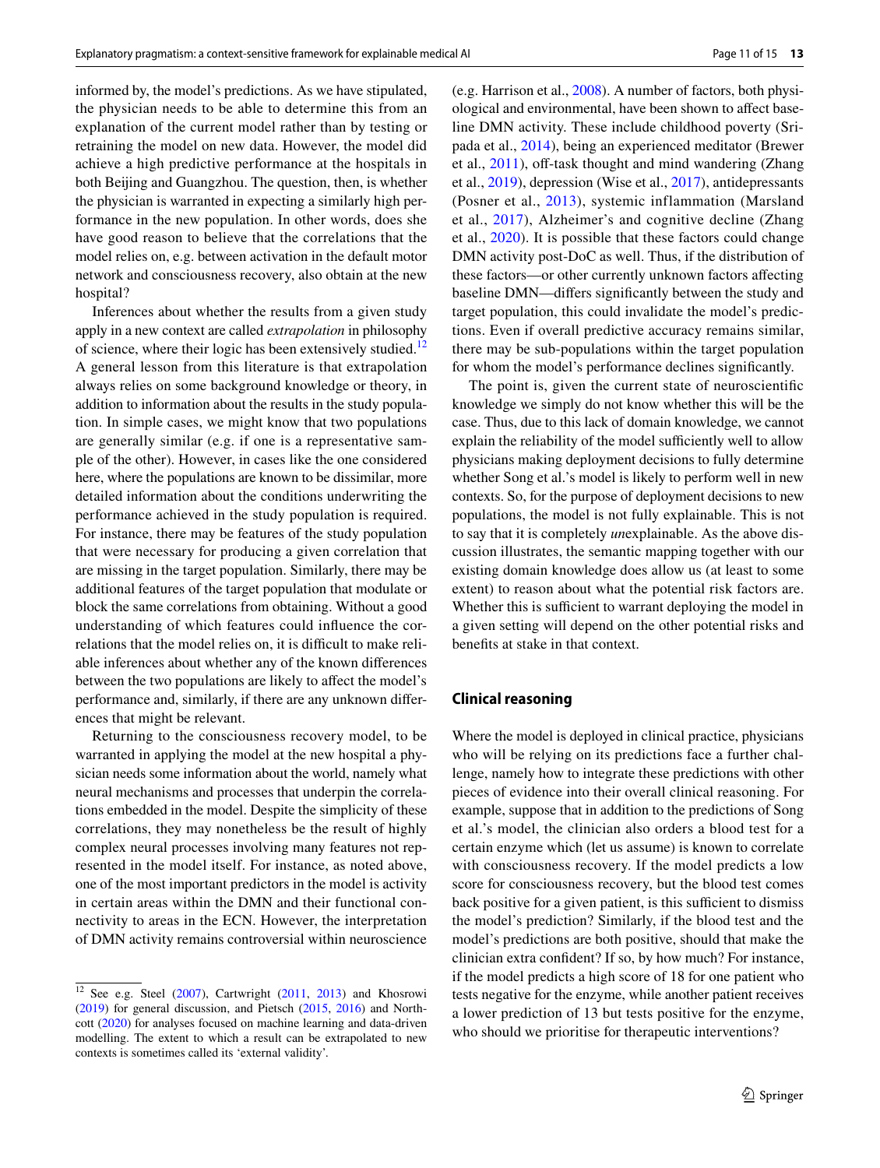informed by, the model's predictions. As we have stipulated, the physician needs to be able to determine this from an explanation of the current model rather than by testing or retraining the model on new data. However, the model did achieve a high predictive performance at the hospitals in both Beijing and Guangzhou. The question, then, is whether the physician is warranted in expecting a similarly high performance in the new population. In other words, does she have good reason to believe that the correlations that the model relies on, e.g. between activation in the default motor network and consciousness recovery, also obtain at the new hospital?

Inferences about whether the results from a given study apply in a new context are called *extrapolation* in philosophy of science, where their logic has been extensively studied.<sup>12</sup> A general lesson from this literature is that extrapolation always relies on some background knowledge or theory, in addition to information about the results in the study population. In simple cases, we might know that two populations are generally similar (e.g. if one is a representative sample of the other). However, in cases like the one considered here, where the populations are known to be dissimilar, more detailed information about the conditions underwriting the performance achieved in the study population is required. For instance, there may be features of the study population that were necessary for producing a given correlation that are missing in the target population. Similarly, there may be additional features of the target population that modulate or block the same correlations from obtaining. Without a good understanding of which features could infuence the correlations that the model relies on, it is difficult to make reliable inferences about whether any of the known diferences between the two populations are likely to affect the model's performance and, similarly, if there are any unknown diferences that might be relevant.

Returning to the consciousness recovery model, to be warranted in applying the model at the new hospital a physician needs some information about the world, namely what neural mechanisms and processes that underpin the correlations embedded in the model. Despite the simplicity of these correlations, they may nonetheless be the result of highly complex neural processes involving many features not represented in the model itself. For instance, as noted above, one of the most important predictors in the model is activity in certain areas within the DMN and their functional connectivity to areas in the ECN. However, the interpretation of DMN activity remains controversial within neuroscience (e.g. Harrison et al., [2008](#page-13-32)). A number of factors, both physiological and environmental, have been shown to afect baseline DMN activity. These include childhood poverty (Sripada et al., [2014\)](#page-14-17), being an experienced meditator (Brewer et al.,  $2011$ ), off-task thought and mind wandering (Zhang et al., [2019](#page-14-18)), depression (Wise et al., [2017](#page-14-19)), antidepressants (Posner et al., [2013\)](#page-13-33), systemic inflammation (Marsland et al., [2017\)](#page-13-34), Alzheimer's and cognitive decline (Zhang et al., [2020](#page-14-20)). It is possible that these factors could change DMN activity post-DoC as well. Thus, if the distribution of these factors—or other currently unknown factors afecting baseline DMN—difers signifcantly between the study and target population, this could invalidate the model's predictions. Even if overall predictive accuracy remains similar, there may be sub-populations within the target population for whom the model's performance declines signifcantly.

The point is, given the current state of neuroscientifc knowledge we simply do not know whether this will be the case. Thus, due to this lack of domain knowledge, we cannot explain the reliability of the model sufficiently well to allow physicians making deployment decisions to fully determine whether Song et al.'s model is likely to perform well in new contexts. So, for the purpose of deployment decisions to new populations, the model is not fully explainable. This is not to say that it is completely *un*explainable. As the above discussion illustrates, the semantic mapping together with our existing domain knowledge does allow us (at least to some extent) to reason about what the potential risk factors are. Whether this is sufficient to warrant deploying the model in a given setting will depend on the other potential risks and benefts at stake in that context.

## <span id="page-10-0"></span>**Clinical reasoning**

Where the model is deployed in clinical practice, physicians who will be relying on its predictions face a further challenge, namely how to integrate these predictions with other pieces of evidence into their overall clinical reasoning. For example, suppose that in addition to the predictions of Song et al.'s model, the clinician also orders a blood test for a certain enzyme which (let us assume) is known to correlate with consciousness recovery. If the model predicts a low score for consciousness recovery, but the blood test comes back positive for a given patient, is this sufficient to dismiss the model's prediction? Similarly, if the blood test and the model's predictions are both positive, should that make the clinician extra confdent? If so, by how much? For instance, if the model predicts a high score of 18 for one patient who tests negative for the enzyme, while another patient receives a lower prediction of 13 but tests positive for the enzyme, who should we prioritise for therapeutic interventions?

<span id="page-10-1"></span> $12$  See e.g. Steel [\(2007](#page-14-21)), Cartwright ([2011,](#page-12-13) [2013](#page-12-14)) and Khosrowi ([2019\)](#page-13-35) for general discussion, and Pietsch [\(2015](#page-13-36), [2016\)](#page-13-37) and Northcott [\(2020](#page-13-38)) for analyses focused on machine learning and data-driven modelling. The extent to which a result can be extrapolated to new contexts is sometimes called its 'external validity'.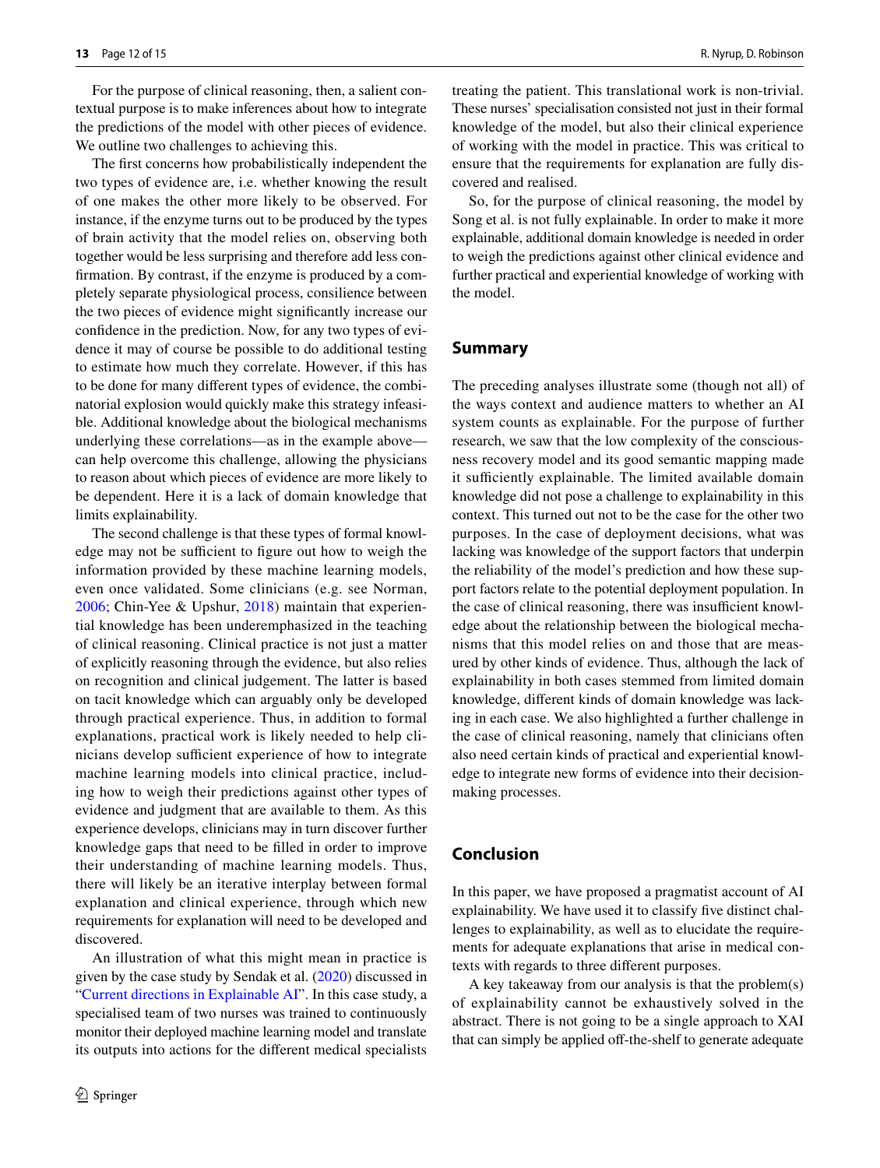For the purpose of clinical reasoning, then, a salient contextual purpose is to make inferences about how to integrate the predictions of the model with other pieces of evidence. We outline two challenges to achieving this.

The frst concerns how probabilistically independent the two types of evidence are, i.e. whether knowing the result of one makes the other more likely to be observed. For instance, if the enzyme turns out to be produced by the types of brain activity that the model relies on, observing both together would be less surprising and therefore add less confrmation. By contrast, if the enzyme is produced by a completely separate physiological process, consilience between the two pieces of evidence might signifcantly increase our confdence in the prediction. Now, for any two types of evidence it may of course be possible to do additional testing to estimate how much they correlate. However, if this has to be done for many diferent types of evidence, the combinatorial explosion would quickly make this strategy infeasible. Additional knowledge about the biological mechanisms underlying these correlations—as in the example above can help overcome this challenge, allowing the physicians to reason about which pieces of evidence are more likely to be dependent. Here it is a lack of domain knowledge that limits explainability.

The second challenge is that these types of formal knowledge may not be sufficient to figure out how to weigh the information provided by these machine learning models, even once validated. Some clinicians (e.g. see Norman, [2006;](#page-13-39) Chin-Yee & Upshur, [2018\)](#page-12-15) maintain that experiential knowledge has been underemphasized in the teaching of clinical reasoning. Clinical practice is not just a matter of explicitly reasoning through the evidence, but also relies on recognition and clinical judgement. The latter is based on tacit knowledge which can arguably only be developed through practical experience. Thus, in addition to formal explanations, practical work is likely needed to help clinicians develop sufficient experience of how to integrate machine learning models into clinical practice, including how to weigh their predictions against other types of evidence and judgment that are available to them. As this experience develops, clinicians may in turn discover further knowledge gaps that need to be flled in order to improve their understanding of machine learning models. Thus, there will likely be an iterative interplay between formal explanation and clinical experience, through which new requirements for explanation will need to be developed and discovered.

An illustration of what this might mean in practice is given by the case study by Sendak et al. ([2020\)](#page-14-5) discussed in ["Current directions in Explainable AI](#page-1-1)". In this case study, a specialised team of two nurses was trained to continuously monitor their deployed machine learning model and translate its outputs into actions for the diferent medical specialists treating the patient. This translational work is non-trivial. These nurses' specialisation consisted not just in their formal knowledge of the model, but also their clinical experience of working with the model in practice. This was critical to ensure that the requirements for explanation are fully discovered and realised.

So, for the purpose of clinical reasoning, the model by Song et al. is not fully explainable. In order to make it more explainable, additional domain knowledge is needed in order to weigh the predictions against other clinical evidence and further practical and experiential knowledge of working with the model.

## <span id="page-11-0"></span>**Summary**

The preceding analyses illustrate some (though not all) of the ways context and audience matters to whether an AI system counts as explainable. For the purpose of further research, we saw that the low complexity of the consciousness recovery model and its good semantic mapping made it sufficiently explainable. The limited available domain knowledge did not pose a challenge to explainability in this context. This turned out not to be the case for the other two purposes. In the case of deployment decisions, what was lacking was knowledge of the support factors that underpin the reliability of the model's prediction and how these support factors relate to the potential deployment population. In the case of clinical reasoning, there was insufficient knowledge about the relationship between the biological mechanisms that this model relies on and those that are measured by other kinds of evidence. Thus, although the lack of explainability in both cases stemmed from limited domain knowledge, diferent kinds of domain knowledge was lacking in each case. We also highlighted a further challenge in the case of clinical reasoning, namely that clinicians often also need certain kinds of practical and experiential knowledge to integrate new forms of evidence into their decisionmaking processes.

# **Conclusion**

In this paper, we have proposed a pragmatist account of AI explainability. We have used it to classify five distinct challenges to explainability, as well as to elucidate the requirements for adequate explanations that arise in medical contexts with regards to three diferent purposes.

A key takeaway from our analysis is that the problem(s) of explainability cannot be exhaustively solved in the abstract. There is not going to be a single approach to XAI that can simply be applied off-the-shelf to generate adequate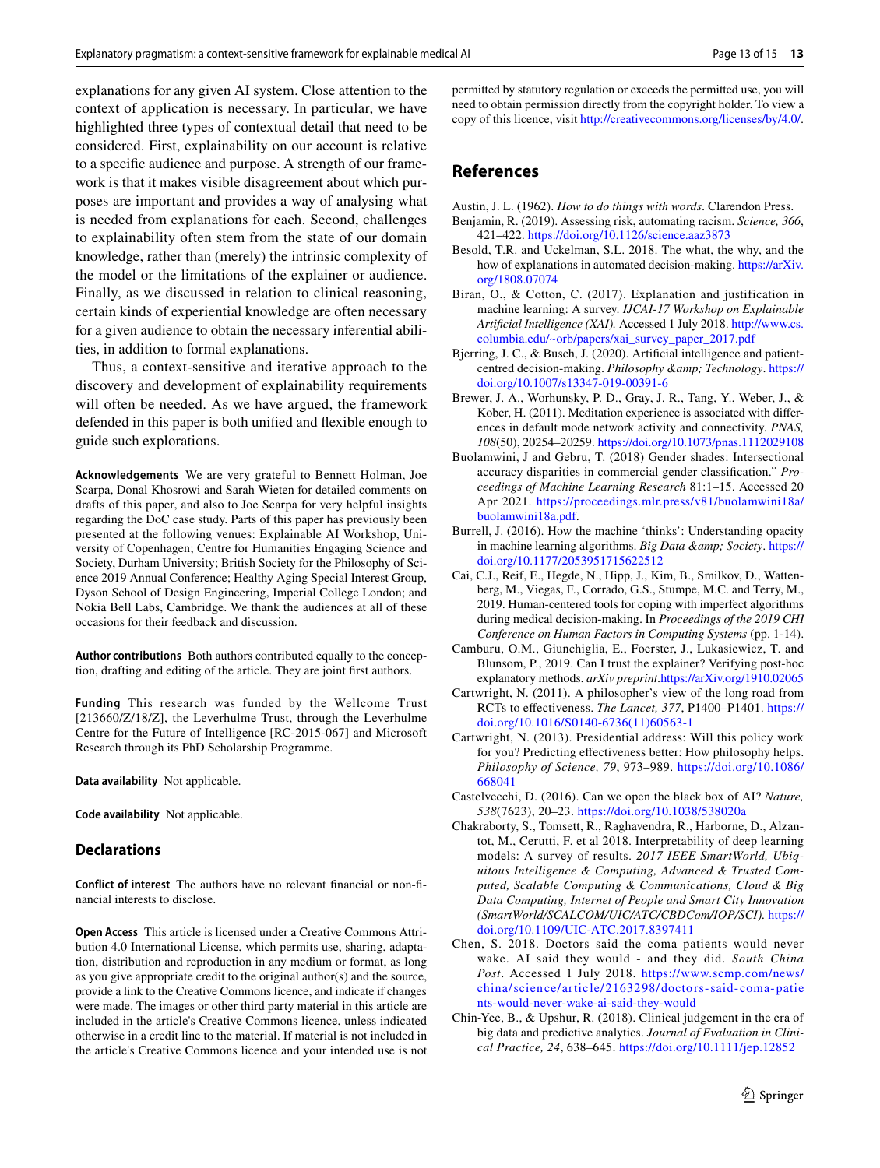explanations for any given AI system. Close attention to the context of application is necessary. In particular, we have highlighted three types of contextual detail that need to be considered. First, explainability on our account is relative to a specifc audience and purpose. A strength of our framework is that it makes visible disagreement about which purposes are important and provides a way of analysing what is needed from explanations for each. Second, challenges to explainability often stem from the state of our domain knowledge, rather than (merely) the intrinsic complexity of the model or the limitations of the explainer or audience. Finally, as we discussed in relation to clinical reasoning, certain kinds of experiential knowledge are often necessary for a given audience to obtain the necessary inferential abilities, in addition to formal explanations.

Thus, a context-sensitive and iterative approach to the discovery and development of explainability requirements will often be needed. As we have argued, the framework defended in this paper is both unifed and fexible enough to guide such explorations.

**Acknowledgements** We are very grateful to Bennett Holman, Joe Scarpa, Donal Khosrowi and Sarah Wieten for detailed comments on drafts of this paper, and also to Joe Scarpa for very helpful insights regarding the DoC case study. Parts of this paper has previously been presented at the following venues: Explainable AI Workshop, University of Copenhagen; Centre for Humanities Engaging Science and Society, Durham University; British Society for the Philosophy of Science 2019 Annual Conference; Healthy Aging Special Interest Group, Dyson School of Design Engineering, Imperial College London; and Nokia Bell Labs, Cambridge. We thank the audiences at all of these occasions for their feedback and discussion.

**Author contributions** Both authors contributed equally to the conception, drafting and editing of the article. They are joint frst authors.

**Funding** This research was funded by the Wellcome Trust [213660/Z/18/Z], the Leverhulme Trust, through the Leverhulme Centre for the Future of Intelligence [RC-2015-067] and Microsoft Research through its PhD Scholarship Programme.

**Data availability** Not applicable.

**Code availability** Not applicable.

## **Declarations**

**Conflict of interest** The authors have no relevant fnancial or non-fnancial interests to disclose.

**Open Access** This article is licensed under a Creative Commons Attribution 4.0 International License, which permits use, sharing, adaptation, distribution and reproduction in any medium or format, as long as you give appropriate credit to the original author(s) and the source, provide a link to the Creative Commons licence, and indicate if changes were made. The images or other third party material in this article are included in the article's Creative Commons licence, unless indicated otherwise in a credit line to the material. If material is not included in the article's Creative Commons licence and your intended use is not permitted by statutory regulation or exceeds the permitted use, you will need to obtain permission directly from the copyright holder. To view a copy of this licence, visit<http://creativecommons.org/licenses/by/4.0/>.

# **References**

<span id="page-12-8"></span>Austin, J. L. (1962). *How to do things with words*. Clarendon Press.

- <span id="page-12-11"></span>Benjamin, R. (2019). Assessing risk, automating racism. *Science, 366*, 421–422.<https://doi.org/10.1126/science.aaz3873>
- <span id="page-12-7"></span>Besold, T.R. and Uckelman, S.L. 2018. The what, the why, and the how of explanations in automated decision-making. [https://arXiv.](arXiv:1808.07074) [org/1808.07074](arXiv:1808.07074)
- <span id="page-12-3"></span>Biran, O., & Cotton, C. (2017). Explanation and justification in machine learning: A survey. *IJCAI-17 Workshop on Explainable Artifcial Intelligence (XAI).* Accessed 1 July 2018. [http://www.cs.](http://www.cs.columbia.edu/~orb/papers/xai_survey_paper_2017.pdf) [columbia.edu/~orb/papers/xai\\_survey\\_paper\\_2017.pdf](http://www.cs.columbia.edu/~orb/papers/xai_survey_paper_2017.pdf)
- <span id="page-12-9"></span>Bjerring, J. C., & Busch, J. (2020). Artifcial intelligence and patientcentred decision-making. *Philosophy & amp*; Technology. [https://](https://doi.org/10.1007/s13347-019-00391-6) [doi.org/10.1007/s13347-019-00391-6](https://doi.org/10.1007/s13347-019-00391-6)
- <span id="page-12-12"></span>Brewer, J. A., Worhunsky, P. D., Gray, J. R., Tang, Y., Weber, J., & Kober, H. (2011). Meditation experience is associated with diferences in default mode network activity and connectivity. *PNAS, 108*(50), 20254–20259. <https://doi.org/10.1073/pnas.1112029108>
- <span id="page-12-10"></span>Buolamwini, J and Gebru, T. (2018) Gender shades: Intersectional accuracy disparities in commercial gender classifcation." *Proceedings of Machine Learning Research* 81:1–15. Accessed 20 Apr 2021. [https://proceedings.mlr.press/v81/buolamwini18a/](https://proceedings.mlr.press/v81/buolamwini18a/buolamwini18a.pdf) [buolamwini18a.pdf](https://proceedings.mlr.press/v81/buolamwini18a/buolamwini18a.pdf).
- <span id="page-12-1"></span>Burrell, J. (2016). How the machine 'thinks': Understanding opacity in machine learning algorithms. *Big Data & amp*; Society. [https://](https://doi.org/10.1177/2053951715622512) [doi.org/10.1177/2053951715622512](https://doi.org/10.1177/2053951715622512)
- <span id="page-12-6"></span>Cai, C.J., Reif, E., Hegde, N., Hipp, J., Kim, B., Smilkov, D., Wattenberg, M., Viegas, F., Corrado, G.S., Stumpe, M.C. and Terry, M., 2019. Human-centered tools for coping with imperfect algorithms during medical decision-making. In *Proceedings of the 2019 CHI Conference on Human Factors in Computing Systems* (pp. 1-14).
- <span id="page-12-5"></span>Camburu, O.M., Giunchiglia, E., Foerster, J., Lukasiewicz, T. and Blunsom, P., 2019. Can I trust the explainer? Verifying post-hoc explanatory methods. *arXiv preprint*[.https://arXiv.org/1910.02065](arXiv:1910.02065)
- <span id="page-12-13"></span>Cartwright, N. (2011). A philosopher's view of the long road from RCTs to efectiveness. *The Lancet, 377*, P1400–P1401. [https://](https://doi.org/10.1016/S0140-6736(11)60563-1) [doi.org/10.1016/S0140-6736\(11\)60563-1](https://doi.org/10.1016/S0140-6736(11)60563-1)
- <span id="page-12-14"></span>Cartwright, N. (2013). Presidential address: Will this policy work for you? Predicting efectiveness better: How philosophy helps. *Philosophy of Science, 79*, 973–989. [https://doi.org/10.1086/](https://doi.org/10.1086/668041) [668041](https://doi.org/10.1086/668041)
- <span id="page-12-2"></span>Castelvecchi, D. (2016). Can we open the black box of AI? *Nature, 538*(7623), 20–23. <https://doi.org/10.1038/538020a>
- <span id="page-12-4"></span>Chakraborty, S., Tomsett, R., Raghavendra, R., Harborne, D., Alzantot, M., Cerutti, F. et al 2018. Interpretability of deep learning models: A survey of results. *2017 IEEE SmartWorld, Ubiquitous Intelligence & Computing, Advanced & Trusted Computed, Scalable Computing & Communications, Cloud & Big Data Computing, Internet of People and Smart City Innovation (SmartWorld/SCALCOM/UIC/ATC/CBDCom/IOP/SCI).* [https://](https://doi.org/10.1109/UIC-ATC.2017.8397411) [doi.org/10.1109/UIC-ATC.2017.8397411](https://doi.org/10.1109/UIC-ATC.2017.8397411)
- <span id="page-12-0"></span>Chen, S. 2018. Doctors said the coma patients would never wake. AI said they would - and they did. *South China Post*. Accessed 1 July 2018. [https://www.scmp.com/news/](https://www.scmp.com/news/china/science/article/2163298/doctors-said-coma-patients-would-never-wake-ai-said-they-would) china/science/ artic [le/2163298/doctors-said-](https://www.scmp.com/news/china/science/article/2163298/doctors-said-coma-patients-would-never-wake-ai-said-they-would) coma-patie [nts-would-never-wake-ai-said-they-would](https://www.scmp.com/news/china/science/article/2163298/doctors-said-coma-patients-would-never-wake-ai-said-they-would)
- <span id="page-12-15"></span>Chin-Yee, B., & Upshur, R. (2018). Clinical judgement in the era of big data and predictive analytics. *Journal of Evaluation in Clinical Practice, 24*, 638–645.<https://doi.org/10.1111/jep.12852>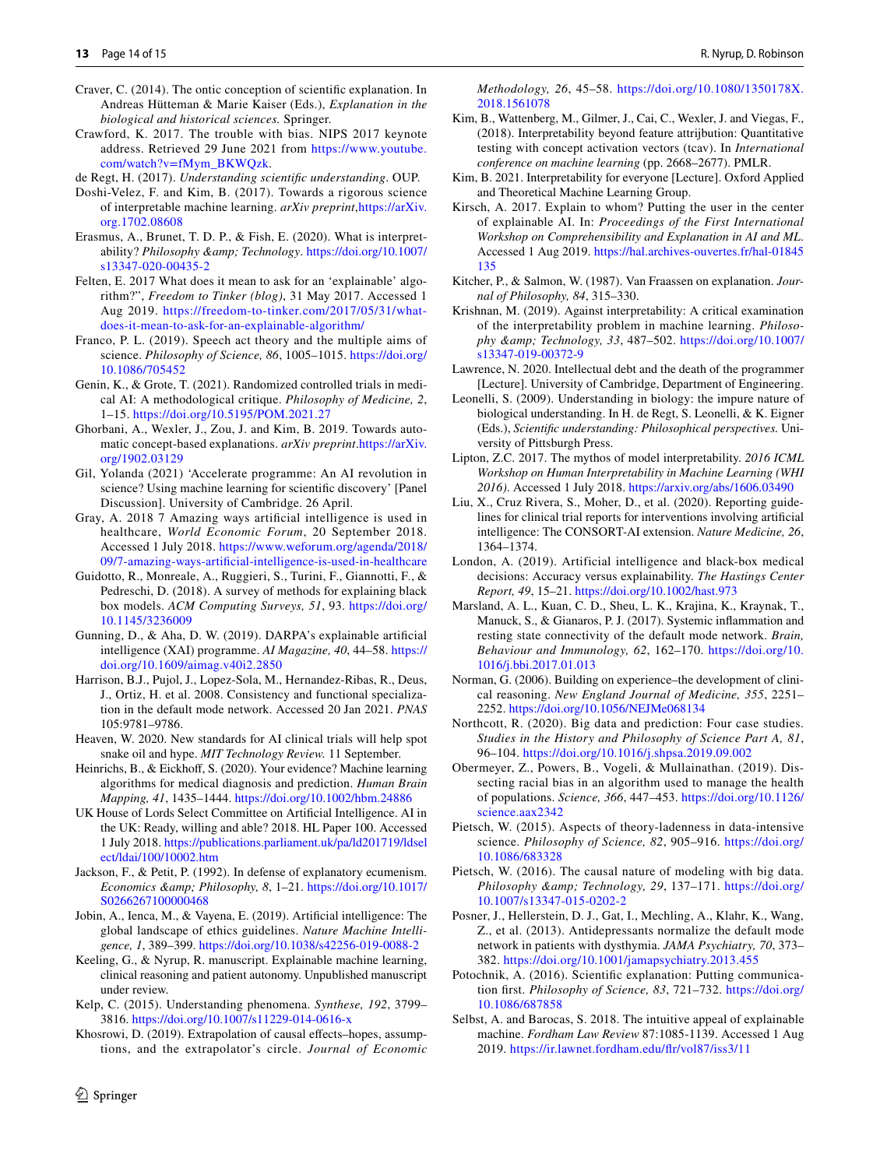- <span id="page-13-21"></span>Craver, C. (2014). The ontic conception of scientifc explanation. In Andreas Hütteman & Marie Kaiser (Eds.), *Explanation in the biological and historical sciences.* Springer.
- <span id="page-13-30"></span>Crawford, K. 2017. The trouble with bias. NIPS 2017 keynote address. Retrieved 29 June 2021 from [https://www.youtube.](https://www.youtube.com/watch?v=fMym_BKWQzk) [com/watch?v=fMym\\_BKWQzk](https://www.youtube.com/watch?v=fMym_BKWQzk).
- <span id="page-13-23"></span>de Regt, H. (2017). *Understanding scientifc understanding*. OUP.
- <span id="page-13-2"></span>Doshi-Velez, F. and Kim, B. (2017). Towards a rigorous science of interpretable machine learning. *arXiv preprint*,[https://arXiv.](arXiv:1702.08608) [org.1702.08608](arXiv:1702.08608)
- <span id="page-13-28"></span>Erasmus, A., Brunet, T. D. P., & Fish, E. (2020). What is interpretability? *Philosophy & amp*; *Technology*. [https://doi.org/10.1007/](https://doi.org/10.1007/s13347-020-00435-2) [s13347-020-00435-2](https://doi.org/10.1007/s13347-020-00435-2)
- <span id="page-13-15"></span>Felten, E. 2017 What does it mean to ask for an 'explainable' algorithm?", *Freedom to Tinker (blog)*, 31 May 2017. Accessed 1 Aug 2019. [https://freedom-to-tinker.com/2017/05/31/what](https://freedom-to-tinker.com/2017/05/31/what-does-it-mean-to-ask-for-an-explainable-algorithm/)[does-it-mean-to-ask-for-an-explainable-algorithm/](https://freedom-to-tinker.com/2017/05/31/what-does-it-mean-to-ask-for-an-explainable-algorithm/)
- <span id="page-13-22"></span>Franco, P. L. (2019). Speech act theory and the multiple aims of science. *Philosophy of Science, 86*, 1005–1015. [https://doi.org/](https://doi.org/10.1086/705452) [10.1086/705452](https://doi.org/10.1086/705452)
- <span id="page-13-14"></span>Genin, K., & Grote, T. (2021). Randomized controlled trials in medical AI: A methodological critique. *Philosophy of Medicine, 2*, 1–15.<https://doi.org/10.5195/POM.2021.27>
- <span id="page-13-10"></span>Ghorbani, A., Wexler, J., Zou, J. and Kim, B. 2019. Towards automatic concept-based explanations. *arXiv preprint*.[https://arXiv.](arXiv:1902.03129) [org/1902.03129](arXiv:1902.03129)
- <span id="page-13-29"></span>Gil, Yolanda (2021) 'Accelerate programme: An AI revolution in science? Using machine learning for scientifc discovery' [Panel Discussion]. University of Cambridge. 26 April.
- <span id="page-13-0"></span>Gray, A. 2018 7 Amazing ways artifcial intelligence is used in healthcare, *World Economic Forum*, 20 September 2018. Accessed 1 July 2018. [https://www.weforum.org/agenda/2018/](https://www.weforum.org/agenda/2018/09/7-amazing-ways-artificial-intelligence-is-used-in-healthcare) [09/7-amazing-ways-artificial-intelligence-is-used-in-healthcare](https://www.weforum.org/agenda/2018/09/7-amazing-ways-artificial-intelligence-is-used-in-healthcare)
- <span id="page-13-3"></span>Guidotto, R., Monreale, A., Ruggieri, S., Turini, F., Giannotti, F., & Pedreschi, D. (2018). A survey of methods for explaining black box models. *ACM Computing Surveys, 51*, 93. [https://doi.org/](https://doi.org/10.1145/3236009) [10.1145/3236009](https://doi.org/10.1145/3236009)
- <span id="page-13-4"></span>Gunning, D., & Aha, D. W. (2019). DARPA's explainable artifcial intelligence (XAI) programme. *AI Magazine, 40*, 44–58. [https://](https://doi.org/10.1609/aimag.v40i2.2850) [doi.org/10.1609/aimag.v40i2.2850](https://doi.org/10.1609/aimag.v40i2.2850)
- <span id="page-13-32"></span>Harrison, B.J., Pujol, J., Lopez-Sola, M., Hernandez-Ribas, R., Deus, J., Ortiz, H. et al. 2008. Consistency and functional specialization in the default mode network. Accessed 20 Jan 2021. *PNAS* 105:9781–9786.
- <span id="page-13-13"></span>Heaven, W. 2020. New standards for AI clinical trials will help spot snake oil and hype. *MIT Technology Review.* 11 September.
- <span id="page-13-27"></span>Heinrichs, B., & Eickhoff, S. (2020). Your evidence? Machine learning algorithms for medical diagnosis and prediction. *Human Brain Mapping, 41*, 1435–1444.<https://doi.org/10.1002/hbm.24886>
- <span id="page-13-7"></span>UK House of Lords Select Committee on Artifcial Intelligence. AI in the UK: Ready, willing and able? 2018. HL Paper 100. Accessed 1 July 2018. [https://publications.parliament.uk/pa/ld201719/ldsel](https://publications.parliament.uk/pa/ld201719/ldselect/ldai/100/10002.htm) [ect/ldai/100/10002.htm](https://publications.parliament.uk/pa/ld201719/ldselect/ldai/100/10002.htm)
- <span id="page-13-19"></span>Jackson, F., & Petit, P. (1992). In defense of explanatory ecumenism. *Economics & amp; Philosophy, 8, 1-21. [https://doi.org/10.1017/](https://doi.org/10.1017/S0266267100000468)* [S0266267100000468](https://doi.org/10.1017/S0266267100000468)
- <span id="page-13-1"></span>Jobin, A., Ienca, M., & Vayena, E. (2019). Artifcial intelligence: The global landscape of ethics guidelines. *Nature Machine Intelligence, 1*, 389–399. <https://doi.org/10.1038/s42256-019-0088-2>
- Keeling, G., & Nyrup, R. manuscript. Explainable machine learning, clinical reasoning and patient autonomy. Unpublished manuscript under review.
- <span id="page-13-25"></span>Kelp, C. (2015). Understanding phenomena. *Synthese, 192*, 3799– 3816.<https://doi.org/10.1007/s11229-014-0616-x>
- <span id="page-13-35"></span>Khosrowi, D. (2019). Extrapolation of causal effects–hopes, assumptions, and the extrapolator's circle. *Journal of Economic*

*Methodology, 26*, 45–58. [https://doi.org/10.1080/1350178X.](https://doi.org/10.1080/1350178X.2018.1561078) [2018.1561078](https://doi.org/10.1080/1350178X.2018.1561078)

- <span id="page-13-9"></span>Kim, B., Wattenberg, M., Gilmer, J., Cai, C., Wexler, J. and Viegas, F., (2018). Interpretability beyond feature attrijbution: Quantitative testing with concept activation vectors (tcav). In *International conference on machine learning* (pp. 2668–2677). PMLR.
- <span id="page-13-6"></span>Kim, B. 2021. Interpretability for everyone [Lecture]. Oxford Applied and Theoretical Machine Learning Group.
- <span id="page-13-16"></span>Kirsch, A. 2017. Explain to whom? Putting the user in the center of explainable AI. In: *Proceedings of the First International Workshop on Comprehensibility and Explanation in AI and ML*. Accessed 1 Aug 2019. [https://hal.archives-ouvertes.fr/hal-01845](https://hal.archives-ouvertes.fr/hal-01845135) [135](https://hal.archives-ouvertes.fr/hal-01845135)
- <span id="page-13-26"></span>Kitcher, P., & Salmon, W. (1987). Van Fraassen on explanation. *Journal of Philosophy, 84*, 315–330.
- <span id="page-13-17"></span>Krishnan, M. (2019). Against interpretability: A critical examination of the interpretability problem in machine learning. *Philosophy & Technology, 33*, 487–502. [https://doi.org/10.1007/](https://doi.org/10.1007/s13347-019-00372-9) [s13347-019-00372-9](https://doi.org/10.1007/s13347-019-00372-9)
- <span id="page-13-11"></span>Lawrence, N. 2020. Intellectual debt and the death of the programmer [Lecture]. University of Cambridge, Department of Engineering.
- <span id="page-13-24"></span>Leonelli, S. (2009). Understanding in biology: the impure nature of biological understanding. In H. de Regt, S. Leonelli, & K. Eigner (Eds.), *Scientifc understanding: Philosophical perspectives.* University of Pittsburgh Press.
- <span id="page-13-5"></span>Lipton, Z.C. 2017. The mythos of model interpretability. *2016 ICML Workshop on Human Interpretability in Machine Learning (WHI 2016)*. Accessed 1 July 2018. <https://arxiv.org/abs/1606.03490>
- <span id="page-13-12"></span>Liu, X., Cruz Rivera, S., Moher, D., et al. (2020). Reporting guidelines for clinical trial reports for interventions involving artifcial intelligence: The CONSORT-AI extension. *Nature Medicine, 26*, 1364–1374.
- <span id="page-13-8"></span>London, A. (2019). Artificial intelligence and black-box medical decisions: Accuracy versus explainability. *The Hastings Center Report, 49*, 15–21.<https://doi.org/10.1002/hast.973>
- <span id="page-13-34"></span>Marsland, A. L., Kuan, C. D., Sheu, L. K., Krajina, K., Kraynak, T., Manuck, S., & Gianaros, P. J. (2017). Systemic infammation and resting state connectivity of the default mode network. *Brain, Behaviour and Immunology, 62*, 162–170. [https://doi.org/10.](https://doi.org/10.1016/j.bbi.2017.01.013) [1016/j.bbi.2017.01.013](https://doi.org/10.1016/j.bbi.2017.01.013)
- <span id="page-13-39"></span>Norman, G. (2006). Building on experience–the development of clinical reasoning. *New England Journal of Medicine, 355*, 2251– 2252. <https://doi.org/10.1056/NEJMe068134>
- <span id="page-13-38"></span>Northcott, R. (2020). Big data and prediction: Four case studies. *Studies in the History and Philosophy of Science Part A, 81*, 96–104.<https://doi.org/10.1016/j.shpsa.2019.09.002>
- <span id="page-13-31"></span>Obermeyer, Z., Powers, B., Vogeli, & Mullainathan. (2019). Dissecting racial bias in an algorithm used to manage the health of populations. *Science, 366*, 447–453. [https://doi.org/10.1126/](https://doi.org/10.1126/science.aax2342) [science.aax2342](https://doi.org/10.1126/science.aax2342)
- <span id="page-13-36"></span>Pietsch, W. (2015). Aspects of theory-ladenness in data-intensive science. *Philosophy of Science, 82*, 905–916. [https://doi.org/](https://doi.org/10.1086/683328) [10.1086/683328](https://doi.org/10.1086/683328)
- <span id="page-13-37"></span>Pietsch, W. (2016). The causal nature of modeling with big data. *Philosophy & Technology, 29*, 137–171. [https://doi.org/](https://doi.org/10.1007/s13347-015-0202-2) [10.1007/s13347-015-0202-2](https://doi.org/10.1007/s13347-015-0202-2)
- <span id="page-13-33"></span>Posner, J., Hellerstein, D. J., Gat, I., Mechling, A., Klahr, K., Wang, Z., et al. (2013). Antidepressants normalize the default mode network in patients with dysthymia. *JAMA Psychiatry, 70*, 373– 382. <https://doi.org/10.1001/jamapsychiatry.2013.455>
- <span id="page-13-20"></span>Potochnik, A. (2016). Scientifc explanation: Putting communication frst. *Philosophy of Science, 83*, 721–732. [https://doi.org/](https://doi.org/10.1086/687858) [10.1086/687858](https://doi.org/10.1086/687858)
- <span id="page-13-18"></span>Selbst, A. and Barocas, S. 2018. The intuitive appeal of explainable machine. *Fordham Law Review* 87:1085-1139. Accessed 1 Aug 2019. [https://ir.lawnet.fordham.edu/fr/vol87/iss3/11](https://ir.lawnet.fordham.edu/flr/vol87/iss3/11)